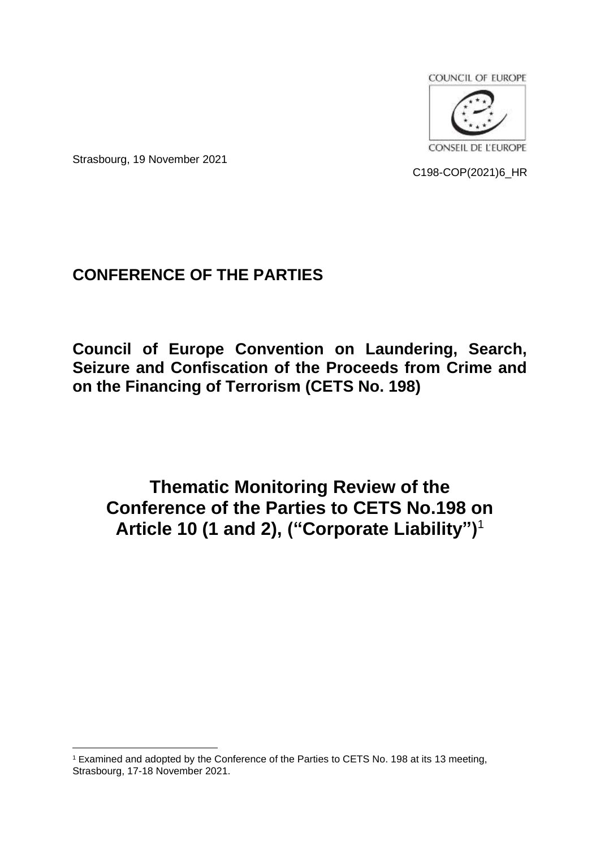

Strasbourg, 19 November 2021

C198-COP(2021)6\_HR

# **CONFERENCE OF THE PARTIES**

**Council of Europe Convention on Laundering, Search, Seizure and Confiscation of the Proceeds from Crime and on the Financing of Terrorism (CETS No. 198)**

**Thematic Monitoring Review of the Conference of the Parties to CETS No.198 on Article 10 (1 and 2), ("Corporate Liability")**<sup>1</sup>

<sup>1</sup> Examined and adopted by the Conference of the Parties to CETS No. 198 at its 13 meeting, Strasbourg, 17-18 November 2021.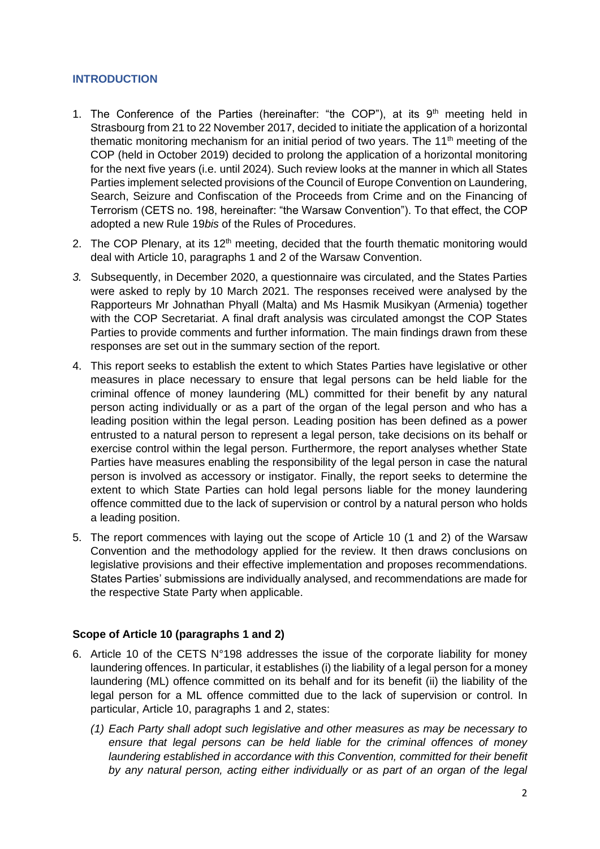### **INTRODUCTION**

- 1. The Conference of the Parties (hereinafter: "the COP"), at its  $9<sup>th</sup>$  meeting held in Strasbourg from 21 to 22 November 2017, decided to initiate the application of a horizontal thematic monitoring mechanism for an initial period of two years. The 11<sup>th</sup> meeting of the COP (held in October 2019) decided to prolong the application of a horizontal monitoring for the next five years (i.e. until 2024). Such review looks at the manner in which all States Parties implement selected provisions of the Council of Europe Convention on Laundering, Search, Seizure and Confiscation of the Proceeds from Crime and on the Financing of Terrorism (CETS no. 198, hereinafter: "the Warsaw Convention"). To that effect, the COP adopted a new Rule 19*bis* of the Rules of Procedures.
- 2. The COP Plenary, at its  $12<sup>th</sup>$  meeting, decided that the fourth thematic monitoring would deal with Article 10, paragraphs 1 and 2 of the Warsaw Convention.
- *3.* Subsequently, in December 2020, a questionnaire was circulated, and the States Parties were asked to reply by 10 March 2021. The responses received were analysed by the Rapporteurs Mr Johnathan Phyall (Malta) and Ms Hasmik Musikyan (Armenia) together with the COP Secretariat. A final draft analysis was circulated amongst the COP States Parties to provide comments and further information. The main findings drawn from these responses are set out in the summary section of the report.
- 4. This report seeks to establish the extent to which States Parties have legislative or other measures in place necessary to ensure that legal persons can be held liable for the criminal offence of money laundering (ML) committed for their benefit by any natural person acting individually or as a part of the organ of the legal person and who has a leading position within the legal person. Leading position has been defined as a power entrusted to a natural person to represent a legal person, take decisions on its behalf or exercise control within the legal person. Furthermore, the report analyses whether State Parties have measures enabling the responsibility of the legal person in case the natural person is involved as accessory or instigator. Finally, the report seeks to determine the extent to which State Parties can hold legal persons liable for the money laundering offence committed due to the lack of supervision or control by a natural person who holds a leading position.
- 5. The report commences with laying out the scope of Article 10 (1 and 2) of the Warsaw Convention and the methodology applied for the review. It then draws conclusions on legislative provisions and their effective implementation and proposes recommendations. States Parties' submissions are individually analysed, and recommendations are made for the respective State Party when applicable.

### **Scope of Article 10 (paragraphs 1 and 2)**

- 6. Article 10 of the CETS N°198 addresses the issue of the corporate liability for money laundering offences. In particular, it establishes (i) the liability of a legal person for a money laundering (ML) offence committed on its behalf and for its benefit (ii) the liability of the legal person for a ML offence committed due to the lack of supervision or control. In particular, Article 10, paragraphs 1 and 2, states:
	- *(1) Each Party shall adopt such legislative and other measures as may be necessary to ensure that legal persons can be held liable for the criminal offences of money laundering established in accordance with this Convention, committed for their benefit by any natural person, acting either individually or as part of an organ of the legal*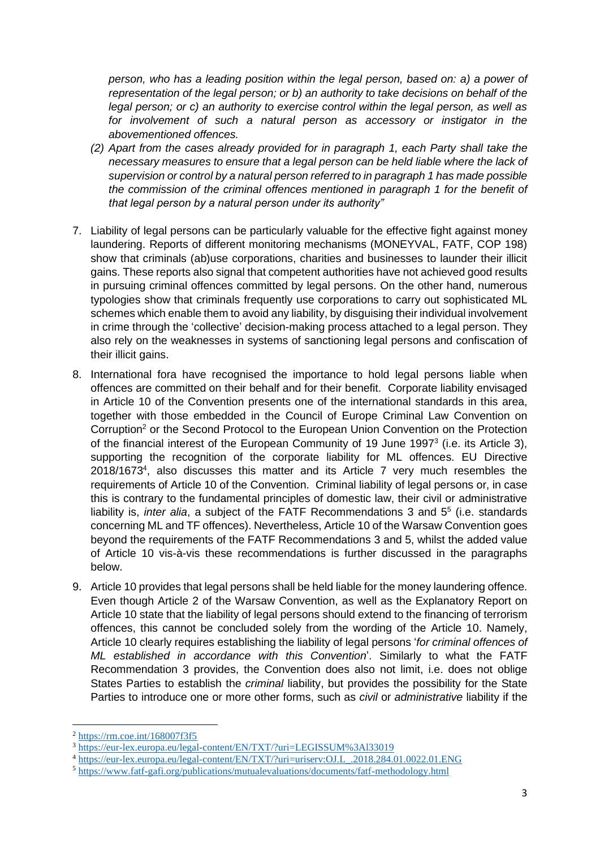*person, who has a leading position within the legal person, based on: a) a power of representation of the legal person; or b) an authority to take decisions on behalf of the legal person; or c) an authority to exercise control within the legal person, as well as for involvement of such a natural person as accessory or instigator in the abovementioned offences.* 

- *(2) Apart from the cases already provided for in paragraph 1, each Party shall take the necessary measures to ensure that a legal person can be held liable where the lack of supervision or control by a natural person referred to in paragraph 1 has made possible the commission of the criminal offences mentioned in paragraph 1 for the benefit of that legal person by a natural person under its authority"*
- 7. Liability of legal persons can be particularly valuable for the effective fight against money laundering. Reports of different monitoring mechanisms (MONEYVAL, FATF, COP 198) show that criminals (ab)use corporations, charities and businesses to launder their illicit gains. These reports also signal that competent authorities have not achieved good results in pursuing criminal offences committed by legal persons. On the other hand, numerous typologies show that criminals frequently use corporations to carry out sophisticated ML schemes which enable them to avoid any liability, by disguising their individual involvement in crime through the 'collective' decision-making process attached to a legal person. They also rely on the weaknesses in systems of sanctioning legal persons and confiscation of their illicit gains.
- 8. International fora have recognised the importance to hold legal persons liable when offences are committed on their behalf and for their benefit. Corporate liability envisaged in Article 10 of the Convention presents one of the international standards in this area, together with those embedded in the Council of Europe Criminal Law Convention on Corruption<sup>2</sup> or the Second Protocol to the European Union Convention on the Protection of the financial interest of the European Community of 19 June 1997 $3$  (i.e. its Article 3), supporting the recognition of the corporate liability for ML offences. EU Directive 2018/1673<sup>4</sup> , also discusses this matter and its Article 7 very much resembles the requirements of Article 10 of the Convention. Criminal liability of legal persons or, in case this is contrary to the fundamental principles of domestic law, their civil or administrative liability is, *inter alia*, a subject of the FATF Recommendations 3 and 5<sup>5</sup> (i.e. standards concerning ML and TF offences). Nevertheless, Article 10 of the Warsaw Convention goes beyond the requirements of the FATF Recommendations 3 and 5, whilst the added value of Article 10 vis-à-vis these recommendations is further discussed in the paragraphs below.
- 9. Article 10 provides that legal persons shall be held liable for the money laundering offence. Even though Article 2 of the Warsaw Convention, as well as the Explanatory Report on Article 10 state that the liability of legal persons should extend to the financing of terrorism offences, this cannot be concluded solely from the wording of the Article 10. Namely, Article 10 clearly requires establishing the liability of legal persons '*for criminal offences of ML established in accordance with this Convention*'. Similarly to what the FATF Recommendation 3 provides, the Convention does also not limit, i.e. does not oblige States Parties to establish the *criminal* liability, but provides the possibility for the State Parties to introduce one or more other forms, such as *civil* or *administrative* liability if the

<sup>2</sup> <https://rm.coe.int/168007f3f5>

<sup>3</sup> <https://eur-lex.europa.eu/legal-content/EN/TXT/?uri=LEGISSUM%3Al33019>

<sup>4</sup> [https://eur-lex.europa.eu/legal-content/EN/TXT/?uri=uriserv:OJ.L\\_.2018.284.01.0022.01.ENG](https://eur-lex.europa.eu/legal-content/EN/TXT/?uri=uriserv:OJ.L_.2018.284.01.0022.01.ENG)

<sup>5</sup> <https://www.fatf-gafi.org/publications/mutualevaluations/documents/fatf-methodology.html>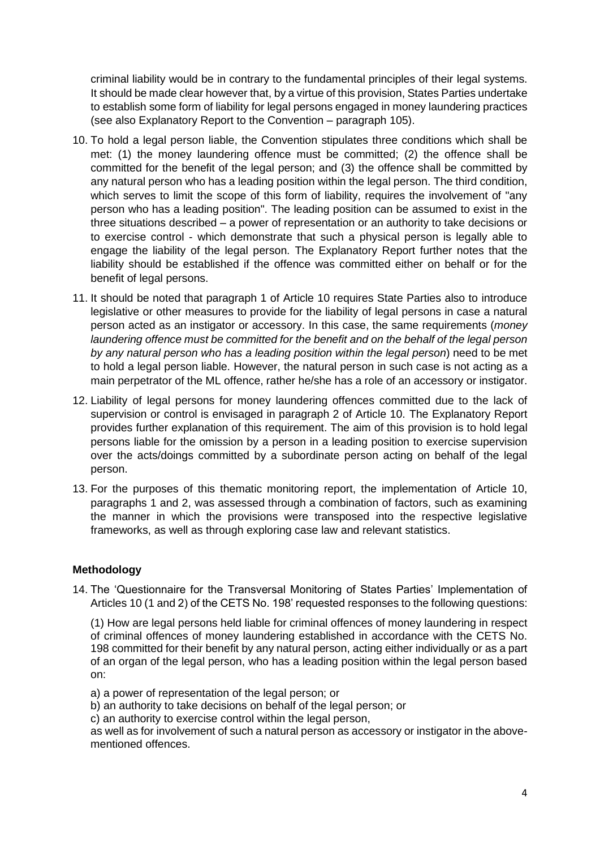criminal liability would be in contrary to the fundamental principles of their legal systems. It should be made clear however that, by a virtue of this provision, States Parties undertake to establish some form of liability for legal persons engaged in money laundering practices (see also Explanatory Report to the Convention – paragraph 105).

- 10. To hold a legal person liable, the Convention stipulates three conditions which shall be met: (1) the money laundering offence must be committed; (2) the offence shall be committed for the benefit of the legal person; and (3) the offence shall be committed by any natural person who has a leading position within the legal person. The third condition, which serves to limit the scope of this form of liability, requires the involvement of "any person who has a leading position". The leading position can be assumed to exist in the three situations described – a power of representation or an authority to take decisions or to exercise control - which demonstrate that such a physical person is legally able to engage the liability of the legal person. The Explanatory Report further notes that the liability should be established if the offence was committed either on behalf or for the benefit of legal persons.
- 11. It should be noted that paragraph 1 of Article 10 requires State Parties also to introduce legislative or other measures to provide for the liability of legal persons in case a natural person acted as an instigator or accessory. In this case, the same requirements (*money laundering offence must be committed for the benefit and on the behalf of the legal person by any natural person who has a leading position within the legal person*) need to be met to hold a legal person liable. However, the natural person in such case is not acting as a main perpetrator of the ML offence, rather he/she has a role of an accessory or instigator.
- 12. Liability of legal persons for money laundering offences committed due to the lack of supervision or control is envisaged in paragraph 2 of Article 10. The Explanatory Report provides further explanation of this requirement. The aim of this provision is to hold legal persons liable for the omission by a person in a leading position to exercise supervision over the acts/doings committed by a subordinate person acting on behalf of the legal person.
- 13. For the purposes of this thematic monitoring report, the implementation of Article 10, paragraphs 1 and 2, was assessed through a combination of factors, such as examining the manner in which the provisions were transposed into the respective legislative frameworks, as well as through exploring case law and relevant statistics.

# **Methodology**

14. The 'Questionnaire for the Transversal Monitoring of States Parties' Implementation of Articles 10 (1 and 2) of the CETS No. 198' requested responses to the following questions:

(1) How are legal persons held liable for criminal offences of money laundering in respect of criminal offences of money laundering established in accordance with the CETS No. 198 committed for their benefit by any natural person, acting either individually or as a part of an organ of the legal person, who has a leading position within the legal person based on:

- a) a power of representation of the legal person; or
- b) an authority to take decisions on behalf of the legal person; or
- c) an authority to exercise control within the legal person,

as well as for involvement of such a natural person as accessory or instigator in the abovementioned offences.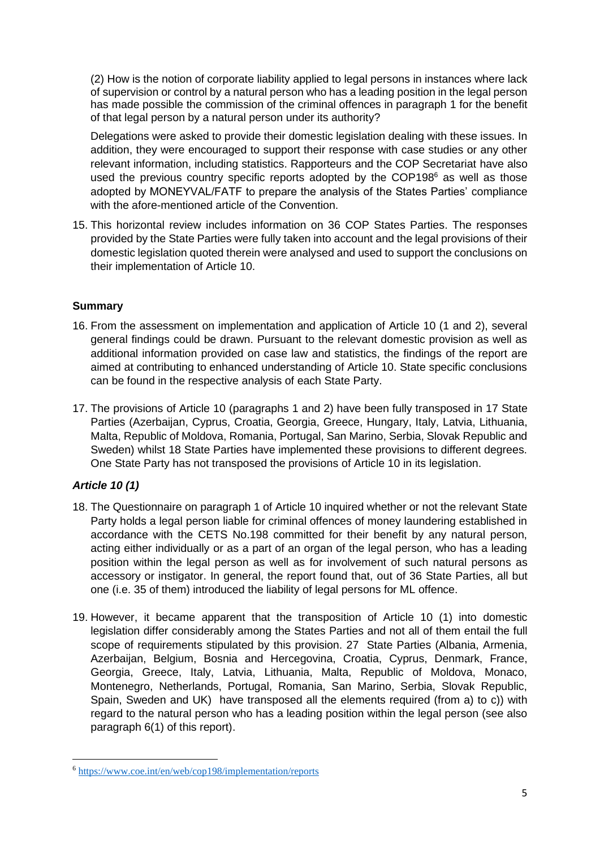(2) How is the notion of corporate liability applied to legal persons in instances where lack of supervision or control by a natural person who has a leading position in the legal person has made possible the commission of the criminal offences in paragraph 1 for the benefit of that legal person by a natural person under its authority?

Delegations were asked to provide their domestic legislation dealing with these issues. In addition, they were encouraged to support their response with case studies or any other relevant information, including statistics. Rapporteurs and the COP Secretariat have also used the previous country specific reports adopted by the  $COP198<sup>6</sup>$  as well as those adopted by MONEYVAL/FATF to prepare the analysis of the States Parties' compliance with the afore-mentioned article of the Convention.

15. This horizontal review includes information on 36 COP States Parties. The responses provided by the State Parties were fully taken into account and the legal provisions of their domestic legislation quoted therein were analysed and used to support the conclusions on their implementation of Article 10.

# **Summary**

- 16. From the assessment on implementation and application of Article 10 (1 and 2), several general findings could be drawn. Pursuant to the relevant domestic provision as well as additional information provided on case law and statistics, the findings of the report are aimed at contributing to enhanced understanding of Article 10. State specific conclusions can be found in the respective analysis of each State Party.
- 17. The provisions of Article 10 (paragraphs 1 and 2) have been fully transposed in 17 State Parties (Azerbaijan, Cyprus, Croatia, Georgia, Greece, Hungary, Italy, Latvia, Lithuania, Malta, Republic of Moldova, Romania, Portugal, San Marino, Serbia, Slovak Republic and Sweden) whilst 18 State Parties have implemented these provisions to different degrees. One State Party has not transposed the provisions of Article 10 in its legislation.

# *Article 10 (1)*

- 18. The Questionnaire on paragraph 1 of Article 10 inquired whether or not the relevant State Party holds a legal person liable for criminal offences of money laundering established in accordance with the CETS No.198 committed for their benefit by any natural person, acting either individually or as a part of an organ of the legal person, who has a leading position within the legal person as well as for involvement of such natural persons as accessory or instigator. In general, the report found that, out of 36 State Parties, all but one (i.e. 35 of them) introduced the liability of legal persons for ML offence.
- 19. However, it became apparent that the transposition of Article 10 (1) into domestic legislation differ considerably among the States Parties and not all of them entail the full scope of requirements stipulated by this provision. 27 State Parties (Albania, Armenia, Azerbaijan, Belgium, Bosnia and Hercegovina, Croatia, Cyprus, Denmark, France, Georgia, Greece, Italy, Latvia, Lithuania, Malta, Republic of Moldova, Monaco, Montenegro, Netherlands, Portugal, Romania, San Marino, Serbia, Slovak Republic, Spain, Sweden and UK) have transposed all the elements required (from a) to c)) with regard to the natural person who has a leading position within the legal person (see also paragraph 6(1) of this report).

<sup>6</sup> <https://www.coe.int/en/web/cop198/implementation/reports>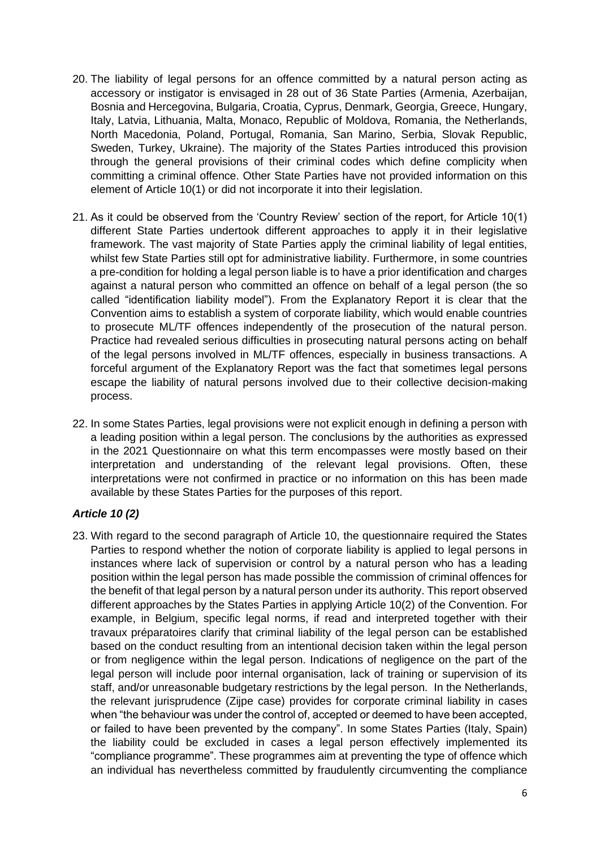- 20. The liability of legal persons for an offence committed by a natural person acting as accessory or instigator is envisaged in 28 out of 36 State Parties (Armenia, Azerbaijan, Bosnia and Hercegovina, Bulgaria, Croatia, Cyprus, Denmark, Georgia, Greece, Hungary, Italy, Latvia, Lithuania, Malta, Monaco, Republic of Moldova, Romania, the Netherlands, North Macedonia, Poland, Portugal, Romania, San Marino, Serbia, Slovak Republic, Sweden, Turkey, Ukraine). The majority of the States Parties introduced this provision through the general provisions of their criminal codes which define complicity when committing a criminal offence. Other State Parties have not provided information on this element of Article 10(1) or did not incorporate it into their legislation.
- 21. As it could be observed from the 'Country Review' section of the report, for Article 10(1) different State Parties undertook different approaches to apply it in their legislative framework. The vast majority of State Parties apply the criminal liability of legal entities, whilst few State Parties still opt for administrative liability. Furthermore, in some countries a pre-condition for holding a legal person liable is to have a prior identification and charges against a natural person who committed an offence on behalf of a legal person (the so called "identification liability model"). From the Explanatory Report it is clear that the Convention aims to establish a system of corporate liability, which would enable countries to prosecute ML/TF offences independently of the prosecution of the natural person. Practice had revealed serious difficulties in prosecuting natural persons acting on behalf of the legal persons involved in ML/TF offences, especially in business transactions. A forceful argument of the Explanatory Report was the fact that sometimes legal persons escape the liability of natural persons involved due to their collective decision-making process.
- 22. In some States Parties, legal provisions were not explicit enough in defining a person with a leading position within a legal person. The conclusions by the authorities as expressed in the 2021 Questionnaire on what this term encompasses were mostly based on their interpretation and understanding of the relevant legal provisions. Often, these interpretations were not confirmed in practice or no information on this has been made available by these States Parties for the purposes of this report.

# *Article 10 (2)*

23. With regard to the second paragraph of Article 10, the questionnaire required the States Parties to respond whether the notion of corporate liability is applied to legal persons in instances where lack of supervision or control by a natural person who has a leading position within the legal person has made possible the commission of criminal offences for the benefit of that legal person by a natural person under its authority. This report observed different approaches by the States Parties in applying Article 10(2) of the Convention. For example, in Belgium, specific legal norms, if read and interpreted together with their travaux préparatoires clarify that criminal liability of the legal person can be established based on the conduct resulting from an intentional decision taken within the legal person or from negligence within the legal person. Indications of negligence on the part of the legal person will include poor internal organisation, lack of training or supervision of its staff, and/or unreasonable budgetary restrictions by the legal person. In the Netherlands, the relevant jurisprudence (Zijpe case) provides for corporate criminal liability in cases when "the behaviour was under the control of, accepted or deemed to have been accepted, or failed to have been prevented by the company". In some States Parties (Italy, Spain) the liability could be excluded in cases a legal person effectively implemented its "compliance programme". These programmes aim at preventing the type of offence which an individual has nevertheless committed by fraudulently circumventing the compliance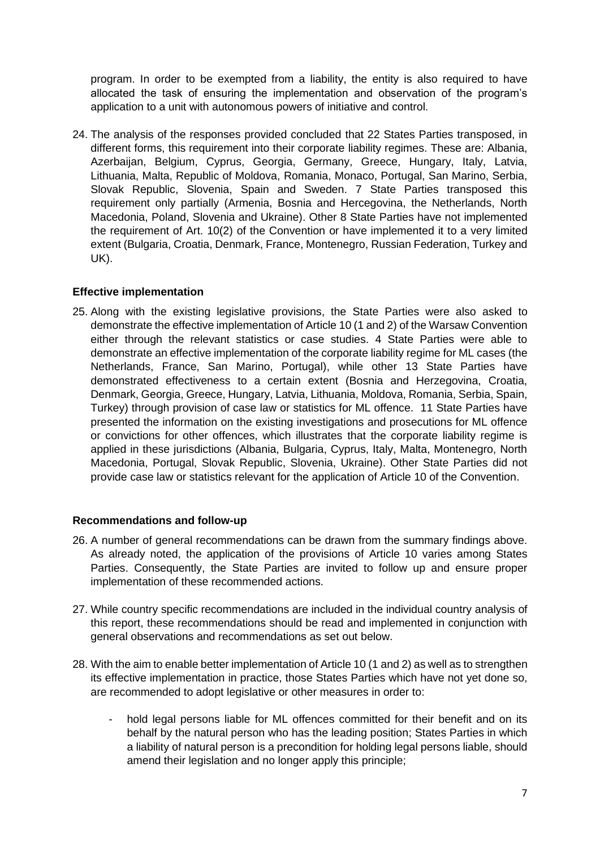program. In order to be exempted from a liability, the entity is also required to have allocated the task of ensuring the implementation and observation of the program's application to a unit with autonomous powers of initiative and control.

24. The analysis of the responses provided concluded that 22 States Parties transposed, in different forms, this requirement into their corporate liability regimes. These are: Albania, Azerbaijan, Belgium, Cyprus, Georgia, Germany, Greece, Hungary, Italy, Latvia, Lithuania, Malta, Republic of Moldova, Romania, Monaco, Portugal, San Marino, Serbia, Slovak Republic, Slovenia, Spain and Sweden. 7 State Parties transposed this requirement only partially (Armenia, Bosnia and Hercegovina, the Netherlands, North Macedonia, Poland, Slovenia and Ukraine). Other 8 State Parties have not implemented the requirement of Art. 10(2) of the Convention or have implemented it to a very limited extent (Bulgaria, Croatia, Denmark, France, Montenegro, Russian Federation, Turkey and UK).

### **Effective implementation**

25. Along with the existing legislative provisions, the State Parties were also asked to demonstrate the effective implementation of Article 10 (1 and 2) of the Warsaw Convention either through the relevant statistics or case studies. 4 State Parties were able to demonstrate an effective implementation of the corporate liability regime for ML cases (the Netherlands, France, San Marino, Portugal), while other 13 State Parties have demonstrated effectiveness to a certain extent (Bosnia and Herzegovina, Croatia, Denmark, Georgia, Greece, Hungary, Latvia, Lithuania, Moldova, Romania, Serbia, Spain, Turkey) through provision of case law or statistics for ML offence. 11 State Parties have presented the information on the existing investigations and prosecutions for ML offence or convictions for other offences, which illustrates that the corporate liability regime is applied in these jurisdictions (Albania, Bulgaria, Cyprus, Italy, Malta, Montenegro, North Macedonia, Portugal, Slovak Republic, Slovenia, Ukraine). Other State Parties did not provide case law or statistics relevant for the application of Article 10 of the Convention.

### **Recommendations and follow-up**

- 26. A number of general recommendations can be drawn from the summary findings above. As already noted, the application of the provisions of Article 10 varies among States Parties. Consequently, the State Parties are invited to follow up and ensure proper implementation of these recommended actions.
- 27. While country specific recommendations are included in the individual country analysis of this report, these recommendations should be read and implemented in conjunction with general observations and recommendations as set out below.
- 28. With the aim to enable better implementation of Article 10 (1 and 2) as well as to strengthen its effective implementation in practice, those States Parties which have not yet done so, are recommended to adopt legislative or other measures in order to:
	- hold legal persons liable for ML offences committed for their benefit and on its behalf by the natural person who has the leading position; States Parties in which a liability of natural person is a precondition for holding legal persons liable, should amend their legislation and no longer apply this principle;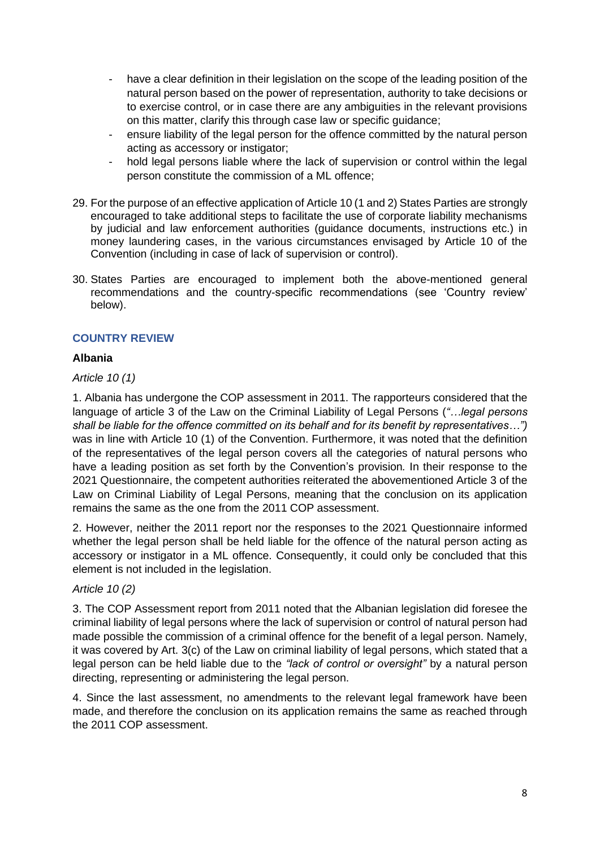- have a clear definition in their legislation on the scope of the leading position of the natural person based on the power of representation, authority to take decisions or to exercise control, or in case there are any ambiguities in the relevant provisions on this matter, clarify this through case law or specific guidance;
- ensure liability of the legal person for the offence committed by the natural person acting as accessory or instigator;
- hold legal persons liable where the lack of supervision or control within the legal person constitute the commission of a ML offence;
- 29. For the purpose of an effective application of Article 10 (1 and 2) States Parties are strongly encouraged to take additional steps to facilitate the use of corporate liability mechanisms by judicial and law enforcement authorities (guidance documents, instructions etc.) in money laundering cases, in the various circumstances envisaged by Article 10 of the Convention (including in case of lack of supervision or control).
- 30. States Parties are encouraged to implement both the above-mentioned general recommendations and the country-specific recommendations (see 'Country review' below).

# **COUNTRY REVIEW**

### **Albania**

### *Article 10 (1)*

1. Albania has undergone the COP assessment in 2011. The rapporteurs considered that the language of article 3 of the Law on the Criminal Liability of Legal Persons (*"…legal persons shall be liable for the offence committed on its behalf and for its benefit by representatives…")* was in line with Article 10 (1) of the Convention. Furthermore, it was noted that the definition of the representatives of the legal person covers all the categories of natural persons who have a leading position as set forth by the Convention's provision*.* In their response to the 2021 Questionnaire, the competent authorities reiterated the abovementioned Article 3 of the Law on Criminal Liability of Legal Persons, meaning that the conclusion on its application remains the same as the one from the 2011 COP assessment.

2. However, neither the 2011 report nor the responses to the 2021 Questionnaire informed whether the legal person shall be held liable for the offence of the natural person acting as accessory or instigator in a ML offence. Consequently, it could only be concluded that this element is not included in the legislation.

### *Article 10 (2)*

3. The COP Assessment report from 2011 noted that the Albanian legislation did foresee the criminal liability of legal persons where the lack of supervision or control of natural person had made possible the commission of a criminal offence for the benefit of a legal person. Namely, it was covered by Art. 3(c) of the Law on criminal liability of legal persons, which stated that a legal person can be held liable due to the *"lack of control or oversight"* by a natural person directing, representing or administering the legal person.

4. Since the last assessment, no amendments to the relevant legal framework have been made, and therefore the conclusion on its application remains the same as reached through the 2011 COP assessment.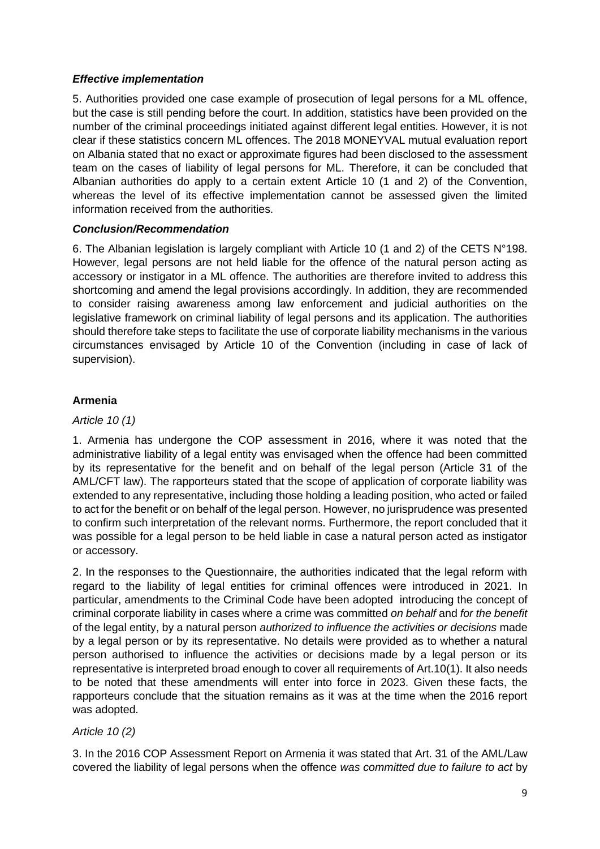### *Effective implementation*

5. Authorities provided one case example of prosecution of legal persons for a ML offence, but the case is still pending before the court. In addition, statistics have been provided on the number of the criminal proceedings initiated against different legal entities. However, it is not clear if these statistics concern ML offences. The 2018 MONEYVAL mutual evaluation report on Albania stated that no exact or approximate figures had been disclosed to the assessment team on the cases of liability of legal persons for ML. Therefore, it can be concluded that Albanian authorities do apply to a certain extent Article 10 (1 and 2) of the Convention, whereas the level of its effective implementation cannot be assessed given the limited information received from the authorities.

### *Conclusion/Recommendation*

6. The Albanian legislation is largely compliant with Article 10 (1 and 2) of the CETS N°198. However, legal persons are not held liable for the offence of the natural person acting as accessory or instigator in a ML offence. The authorities are therefore invited to address this shortcoming and amend the legal provisions accordingly. In addition, they are recommended to consider raising awareness among law enforcement and judicial authorities on the legislative framework on criminal liability of legal persons and its application. The authorities should therefore take steps to facilitate the use of corporate liability mechanisms in the various circumstances envisaged by Article 10 of the Convention (including in case of lack of supervision).

# **Armenia**

### *Article 10 (1)*

1. Armenia has undergone the COP assessment in 2016, where it was noted that the administrative liability of a legal entity was envisaged when the offence had been committed by its representative for the benefit and on behalf of the legal person (Article 31 of the AML/CFT law). The rapporteurs stated that the scope of application of corporate liability was extended to any representative, including those holding a leading position, who acted or failed to act for the benefit or on behalf of the legal person. However, no jurisprudence was presented to confirm such interpretation of the relevant norms. Furthermore, the report concluded that it was possible for a legal person to be held liable in case a natural person acted as instigator or accessory.

2. In the responses to the Questionnaire, the authorities indicated that the legal reform with regard to the liability of legal entities for criminal offences were introduced in 2021. In particular, amendments to the Criminal Code have been adopted introducing the concept of criminal corporate liability in cases where a crime was committed *on behalf* and *for the benefit* of the legal entity, by a natural person *authorized to influence the activities or decisions* made by a legal person or by its representative. No details were provided as to whether a natural person authorised to influence the activities or decisions made by a legal person or its representative is interpreted broad enough to cover all requirements of Art.10(1). It also needs to be noted that these amendments will enter into force in 2023. Given these facts, the rapporteurs conclude that the situation remains as it was at the time when the 2016 report was adopted.

# *Article 10 (2)*

3. In the 2016 COP Assessment Report on Armenia it was stated that Art. 31 of the AML/Law covered the liability of legal persons when the offence *was committed due to failure to act* by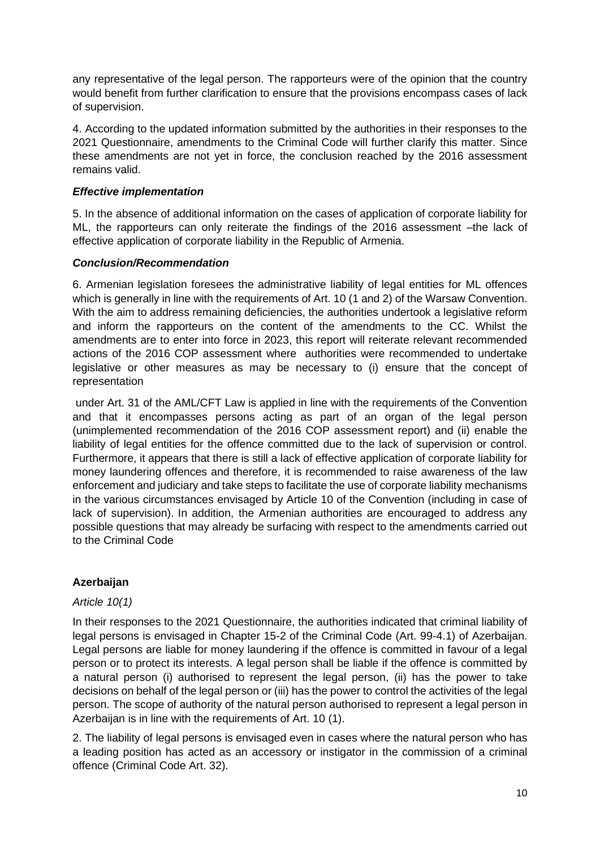any representative of the legal person. The rapporteurs were of the opinion that the country would benefit from further clarification to ensure that the provisions encompass cases of lack of supervision.

4. According to the updated information submitted by the authorities in their responses to the 2021 Questionnaire, amendments to the Criminal Code will further clarify this matter. Since these amendments are not yet in force, the conclusion reached by the 2016 assessment remains valid.

### *Effective implementation*

5. In the absence of additional information on the cases of application of corporate liability for ML, the rapporteurs can only reiterate the findings of the 2016 assessment –the lack of effective application of corporate liability in the Republic of Armenia.

### *Conclusion/Recommendation*

6. Armenian legislation foresees the administrative liability of legal entities for ML offences which is generally in line with the requirements of Art. 10 (1 and 2) of the Warsaw Convention. With the aim to address remaining deficiencies, the authorities undertook a legislative reform and inform the rapporteurs on the content of the amendments to the CC. Whilst the amendments are to enter into force in 2023, this report will reiterate relevant recommended actions of the 2016 COP assessment where authorities were recommended to undertake legislative or other measures as may be necessary to (i) ensure that the concept of representation

under Art. 31 of the AML/CFT Law is applied in line with the requirements of the Convention and that it encompasses persons acting as part of an organ of the legal person (unimplemented recommendation of the 2016 COP assessment report) and (ii) enable the liability of legal entities for the offence committed due to the lack of supervision or control. Furthermore, it appears that there is still a lack of effective application of corporate liability for money laundering offences and therefore, it is recommended to raise awareness of the law enforcement and judiciary and take steps to facilitate the use of corporate liability mechanisms in the various circumstances envisaged by Article 10 of the Convention (including in case of lack of supervision). In addition, the Armenian authorities are encouraged to address any possible questions that may already be surfacing with respect to the amendments carried out to the Criminal Code

# **Azerbaijan**

# *Article 10(1)*

In their responses to the 2021 Questionnaire, the authorities indicated that criminal liability of legal persons is envisaged in Chapter 15-2 of the Criminal Code (Art. 99-4.1) of Azerbaijan. Legal persons are liable for money laundering if the offence is committed in favour of a legal person or to protect its interests. A legal person shall be liable if the offence is committed by a natural person (i) authorised to represent the legal person, (ii) has the power to take decisions on behalf of the legal person or (iii) has the power to control the activities of the legal person. The scope of authority of the natural person authorised to represent a legal person in Azerbaijan is in line with the requirements of Art. 10 (1).

2. The liability of legal persons is envisaged even in cases where the natural person who has a leading position has acted as an accessory or instigator in the commission of a criminal offence (Criminal Code Art. 32).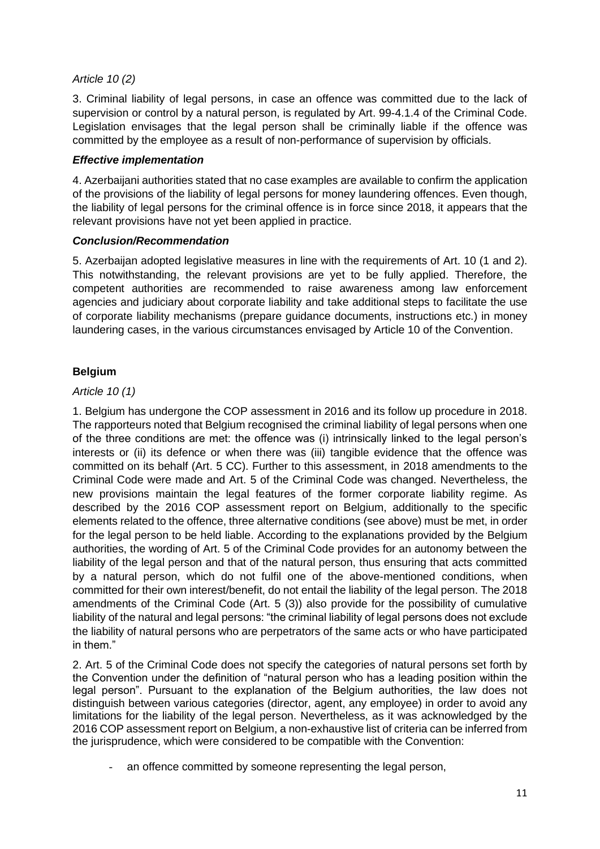### *Article 10 (2)*

3. Criminal liability of legal persons, in case an offence was committed due to the lack of supervision or control by a natural person, is regulated by Art. 99-4.1.4 of the Criminal Code. Legislation envisages that the legal person shall be criminally liable if the offence was committed by the employee as a result of non-performance of supervision by officials.

### *Effective implementation*

4. Azerbaijani authorities stated that no case examples are available to confirm the application of the provisions of the liability of legal persons for money laundering offences. Even though, the liability of legal persons for the criminal offence is in force since 2018, it appears that the relevant provisions have not yet been applied in practice.

### *Conclusion/Recommendation*

5. Azerbaijan adopted legislative measures in line with the requirements of Art. 10 (1 and 2). This notwithstanding, the relevant provisions are yet to be fully applied. Therefore, the competent authorities are recommended to raise awareness among law enforcement agencies and judiciary about corporate liability and take additional steps to facilitate the use of corporate liability mechanisms (prepare guidance documents, instructions etc.) in money laundering cases, in the various circumstances envisaged by Article 10 of the Convention.

# **Belgium**

### *Article 10 (1)*

1. Belgium has undergone the COP assessment in 2016 and its follow up procedure in 2018. The rapporteurs noted that Belgium recognised the criminal liability of legal persons when one of the three conditions are met: the offence was (i) intrinsically linked to the legal person's interests or (ii) its defence or when there was (iii) tangible evidence that the offence was committed on its behalf (Art. 5 CC). Further to this assessment, in 2018 amendments to the Criminal Code were made and Art. 5 of the Criminal Code was changed. Nevertheless, the new provisions maintain the legal features of the former corporate liability regime. As described by the 2016 COP assessment report on Belgium, additionally to the specific elements related to the offence, three alternative conditions (see above) must be met, in order for the legal person to be held liable. According to the explanations provided by the Belgium authorities, the wording of Art. 5 of the Criminal Code provides for an autonomy between the liability of the legal person and that of the natural person, thus ensuring that acts committed by a natural person, which do not fulfil one of the above-mentioned conditions, when committed for their own interest/benefit, do not entail the liability of the legal person. The 2018 amendments of the Criminal Code (Art. 5 (3)) also provide for the possibility of cumulative liability of the natural and legal persons: "the criminal liability of legal persons does not exclude the liability of natural persons who are perpetrators of the same acts or who have participated in them."

2. Art. 5 of the Criminal Code does not specify the categories of natural persons set forth by the Convention under the definition of "natural person who has a leading position within the legal person". Pursuant to the explanation of the Belgium authorities, the law does not distinguish between various categories (director, agent, any employee) in order to avoid any limitations for the liability of the legal person. Nevertheless, as it was acknowledged by the 2016 COP assessment report on Belgium, a non-exhaustive list of criteria can be inferred from the jurisprudence, which were considered to be compatible with the Convention:

an offence committed by someone representing the legal person,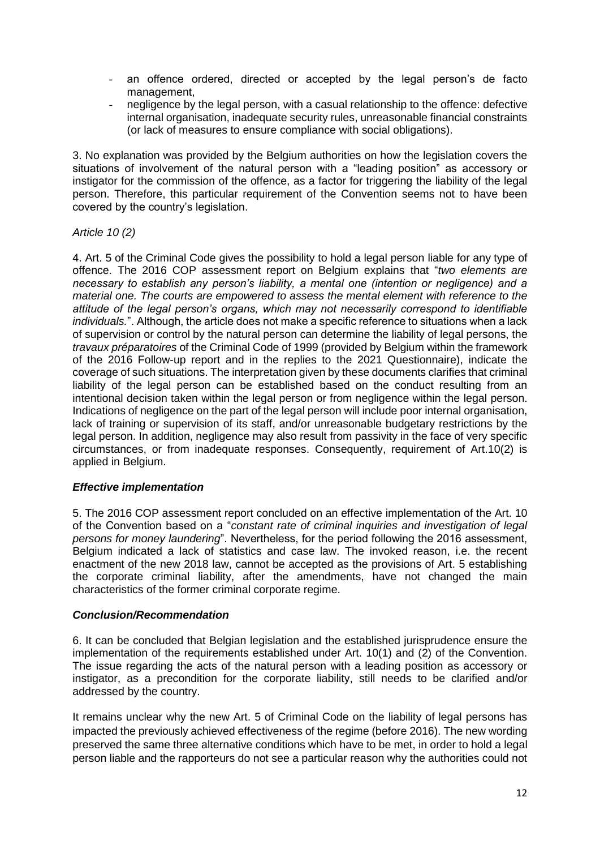- an offence ordered, directed or accepted by the legal person's de facto management,
- negligence by the legal person, with a casual relationship to the offence: defective internal organisation, inadequate security rules, unreasonable financial constraints (or lack of measures to ensure compliance with social obligations).

3. No explanation was provided by the Belgium authorities on how the legislation covers the situations of involvement of the natural person with a "leading position" as accessory or instigator for the commission of the offence, as a factor for triggering the liability of the legal person. Therefore, this particular requirement of the Convention seems not to have been covered by the country's legislation.

### *Article 10 (2)*

4. Art. 5 of the Criminal Code gives the possibility to hold a legal person liable for any type of offence. The 2016 COP assessment report on Belgium explains that "*two elements are necessary to establish any person's liability, a mental one (intention or negligence) and a material one. The courts are empowered to assess the mental element with reference to the attitude of the legal person's organs, which may not necessarily correspond to identifiable individuals.*". Although, the article does not make a specific reference to situations when a lack of supervision or control by the natural person can determine the liability of legal persons, the *travaux préparatoires* of the Criminal Code of 1999 (provided by Belgium within the framework of the 2016 Follow-up report and in the replies to the 2021 Questionnaire), indicate the coverage of such situations. The interpretation given by these documents clarifies that criminal liability of the legal person can be established based on the conduct resulting from an intentional decision taken within the legal person or from negligence within the legal person. Indications of negligence on the part of the legal person will include poor internal organisation, lack of training or supervision of its staff, and/or unreasonable budgetary restrictions by the legal person. In addition, negligence may also result from passivity in the face of very specific circumstances, or from inadequate responses. Consequently, requirement of Art.10(2) is applied in Belgium.

### *Effective implementation*

5. The 2016 COP assessment report concluded on an effective implementation of the Art. 10 of the Convention based on a "*constant rate of criminal inquiries and investigation of legal persons for money laundering*". Nevertheless, for the period following the 2016 assessment, Belgium indicated a lack of statistics and case law. The invoked reason, i.e. the recent enactment of the new 2018 law, cannot be accepted as the provisions of Art. 5 establishing the corporate criminal liability, after the amendments, have not changed the main characteristics of the former criminal corporate regime.

### *Conclusion/Recommendation*

6. It can be concluded that Belgian legislation and the established jurisprudence ensure the implementation of the requirements established under Art. 10(1) and (2) of the Convention. The issue regarding the acts of the natural person with a leading position as accessory or instigator, as a precondition for the corporate liability, still needs to be clarified and/or addressed by the country.

It remains unclear why the new Art. 5 of Criminal Code on the liability of legal persons has impacted the previously achieved effectiveness of the regime (before 2016). The new wording preserved the same three alternative conditions which have to be met, in order to hold a legal person liable and the rapporteurs do not see a particular reason why the authorities could not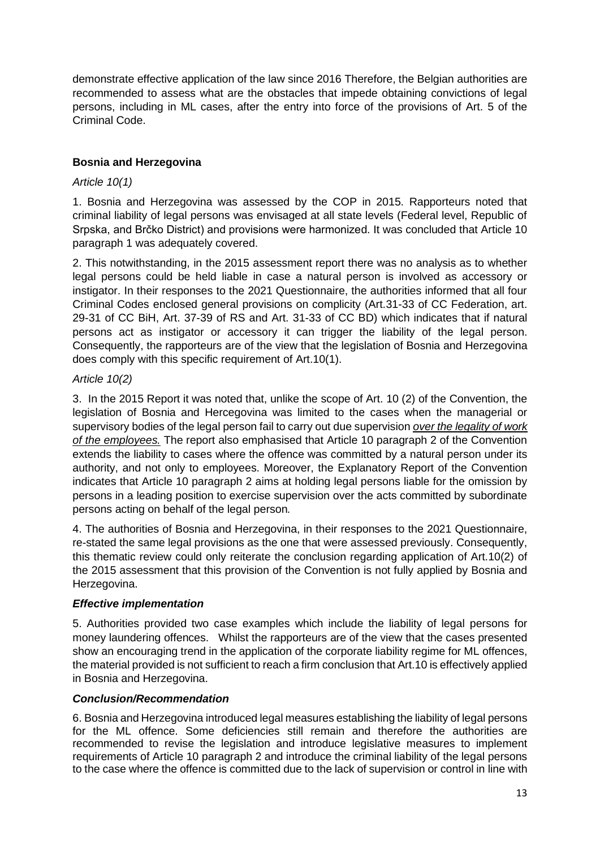demonstrate effective application of the law since 2016 Therefore, the Belgian authorities are recommended to assess what are the obstacles that impede obtaining convictions of legal persons, including in ML cases, after the entry into force of the provisions of Art. 5 of the Criminal Code.

# **Bosnia and Herzegovina**

### *Article 10(1)*

1. Bosnia and Herzegovina was assessed by the COP in 2015. Rapporteurs noted that criminal liability of legal persons was envisaged at all state levels (Federal level, Republic of Srpska, and Brčko District) and provisions were harmonized. It was concluded that Article 10 paragraph 1 was adequately covered.

2. This notwithstanding, in the 2015 assessment report there was no analysis as to whether legal persons could be held liable in case a natural person is involved as accessory or instigator. In their responses to the 2021 Questionnaire, the authorities informed that all four Criminal Codes enclosed general provisions on complicity (Art.31-33 of CC Federation, art. 29-31 of CC BiH, Art. 37-39 of RS and Art. 31-33 of CC BD) which indicates that if natural persons act as instigator or accessory it can trigger the liability of the legal person. Consequently, the rapporteurs are of the view that the legislation of Bosnia and Herzegovina does comply with this specific requirement of Art.10(1).

### *Article 10(2)*

3. In the 2015 Report it was noted that, unlike the scope of Art. 10 (2) of the Convention, the legislation of Bosnia and Hercegovina was limited to the cases when the managerial or supervisory bodies of the legal person fail to carry out due supervision *over the legality of work of the employees.* The report also emphasised that Article 10 paragraph 2 of the Convention extends the liability to cases where the offence was committed by a natural person under its authority, and not only to employees. Moreover, the Explanatory Report of the Convention indicates that Article 10 paragraph 2 aims at holding legal persons liable for the omission by persons in a leading position to exercise supervision over the acts committed by subordinate persons acting on behalf of the legal person*.*

4. The authorities of Bosnia and Herzegovina, in their responses to the 2021 Questionnaire, re-stated the same legal provisions as the one that were assessed previously. Consequently, this thematic review could only reiterate the conclusion regarding application of Art.10(2) of the 2015 assessment that this provision of the Convention is not fully applied by Bosnia and Herzegovina.

### *Effective implementation*

5. Authorities provided two case examples which include the liability of legal persons for money laundering offences. Whilst the rapporteurs are of the view that the cases presented show an encouraging trend in the application of the corporate liability regime for ML offences, the material provided is not sufficient to reach a firm conclusion that Art.10 is effectively applied in Bosnia and Herzegovina.

### *Conclusion/Recommendation*

6. Bosnia and Herzegovina introduced legal measures establishing the liability of legal persons for the ML offence. Some deficiencies still remain and therefore the authorities are recommended to revise the legislation and introduce legislative measures to implement requirements of Article 10 paragraph 2 and introduce the criminal liability of the legal persons to the case where the offence is committed due to the lack of supervision or control in line with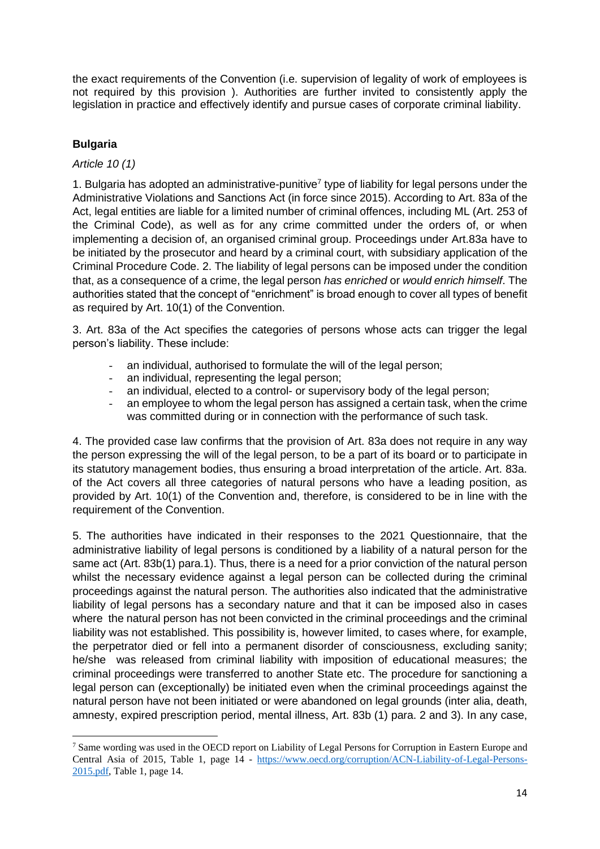the exact requirements of the Convention (i.e. supervision of legality of work of employees is not required by this provision ). Authorities are further invited to consistently apply the legislation in practice and effectively identify and pursue cases of corporate criminal liability.

# **Bulgaria**

### *Article 10 (1)*

1. Bulgaria has adopted an administrative-punitive<sup>7</sup> type of liability for legal persons under the Administrative Violations and Sanctions Act (in force since 2015). According to Art. 83a of the Act, legal entities are liable for a limited number of criminal offences, including ML (Art. 253 of the Criminal Code), as well as for any crime committed under the orders of, or when implementing a decision of, an organised criminal group. Proceedings under Art.83a have to be initiated by the prosecutor and heard by a criminal court, with subsidiary application of the Criminal Procedure Code. 2. The liability of legal persons can be imposed under the condition that, as a consequence of a crime, the legal person *has enriched* or *would enrich himself*. The authorities stated that the concept of "enrichment" is broad enough to cover all types of benefit as required by Art. 10(1) of the Convention.

3. Art. 83a of the Act specifies the categories of persons whose acts can trigger the legal person's liability. These include:

- an individual, authorised to formulate the will of the legal person;
- an individual, representing the legal person;
- an individual, elected to a control- or supervisory body of the legal person;
- an employee to whom the legal person has assigned a certain task, when the crime was committed during or in connection with the performance of such task.

4. The provided case law confirms that the provision of Art. 83a does not require in any way the person expressing the will of the legal person, to be a part of its board or to participate in its statutory management bodies, thus ensuring a broad interpretation of the article. Art. 83a. of the Act covers all three categories of natural persons who have a leading position, as provided by Art. 10(1) of the Convention and, therefore, is considered to be in line with the requirement of the Convention.

5. The authorities have indicated in their responses to the 2021 Questionnaire, that the administrative liability of legal persons is conditioned by a liability of a natural person for the same act (Art. 83b(1) para.1). Thus, there is a need for a prior conviction of the natural person whilst the necessary evidence against a legal person can be collected during the criminal proceedings against the natural person. The authorities also indicated that the administrative liability of legal persons has a secondary nature and that it can be imposed also in cases where the natural person has not been convicted in the criminal proceedings and the criminal liability was not established. This possibility is, however limited, to cases where, for example, the perpetrator died or fell into a permanent disorder of consciousness, excluding sanity; he/she was released from criminal liability with imposition of educational measures; the criminal proceedings were transferred to another State etc. The procedure for sanctioning a legal person can (exceptionally) be initiated even when the criminal proceedings against the natural person have not been initiated or were abandoned on legal grounds (inter alia, death, amnesty, expired prescription period, mental illness, Art. 83b (1) para. 2 and 3). In any case,

<sup>7</sup> Same wording was used in the OECD report on Liability of Legal Persons for Corruption in Eastern Europe and Central Asia of 2015, Table 1, page 14 - [https://www.oecd.org/corruption/ACN-Liability-of-Legal-Persons-](https://www.oecd.org/corruption/ACN-Liability-of-Legal-Persons-2015.pdf)[2015.pdf,](https://www.oecd.org/corruption/ACN-Liability-of-Legal-Persons-2015.pdf) Table 1, page 14.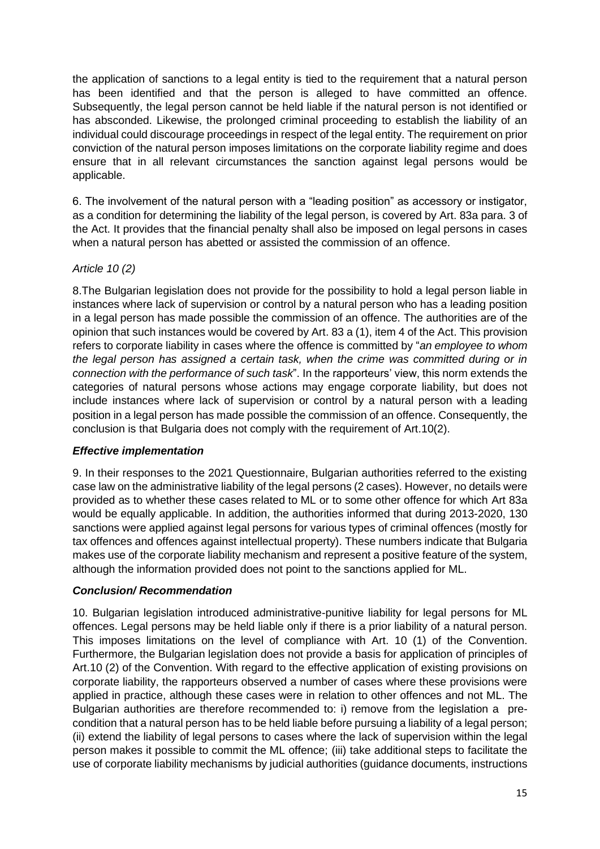the application of sanctions to a legal entity is tied to the requirement that a natural person has been identified and that the person is alleged to have committed an offence. Subsequently, the legal person cannot be held liable if the natural person is not identified or has absconded. Likewise, the prolonged criminal proceeding to establish the liability of an individual could discourage proceedings in respect of the legal entity. The requirement on prior conviction of the natural person imposes limitations on the corporate liability regime and does ensure that in all relevant circumstances the sanction against legal persons would be applicable.

6. The involvement of the natural person with a "leading position" as accessory or instigator, as a condition for determining the liability of the legal person, is covered by Art. 83a para. 3 of the Act. It provides that the financial penalty shall also be imposed on legal persons in cases when a natural person has abetted or assisted the commission of an offence.

# *Article 10 (2)*

8.The Bulgarian legislation does not provide for the possibility to hold a legal person liable in instances where lack of supervision or control by a natural person who has a leading position in a legal person has made possible the commission of an offence. The authorities are of the opinion that such instances would be covered by Art. 83 a (1), item 4 of the Act. This provision refers to corporate liability in cases where the offence is committed by "*an employee to whom the legal person has assigned a certain task, when the crime was committed during or in connection with the performance of such task*". In the rapporteurs' view, this norm extends the categories of natural persons whose actions may engage corporate liability, but does not include instances where lack of supervision or control by a natural person with a leading position in a legal person has made possible the commission of an offence. Consequently, the conclusion is that Bulgaria does not comply with the requirement of Art.10(2).

# *Effective implementation*

9. In their responses to the 2021 Questionnaire, Bulgarian authorities referred to the existing case law on the administrative liability of the legal persons (2 cases). However, no details were provided as to whether these cases related to ML or to some other offence for which Art 83a would be equally applicable. In addition, the authorities informed that during 2013-2020, 130 sanctions were applied against legal persons for various types of criminal offences (mostly for tax offences and offences against intellectual property). These numbers indicate that Bulgaria makes use of the corporate liability mechanism and represent a positive feature of the system, although the information provided does not point to the sanctions applied for ML.

### *Conclusion/ Recommendation*

10. Bulgarian legislation introduced administrative-punitive liability for legal persons for ML offences. Legal persons may be held liable only if there is a prior liability of a natural person. This imposes limitations on the level of compliance with Art. 10 (1) of the Convention. Furthermore, the Bulgarian legislation does not provide a basis for application of principles of Art.10 (2) of the Convention. With regard to the effective application of existing provisions on corporate liability, the rapporteurs observed a number of cases where these provisions were applied in practice, although these cases were in relation to other offences and not ML. The Bulgarian authorities are therefore recommended to: i) remove from the legislation a precondition that a natural person has to be held liable before pursuing a liability of a legal person; (ii) extend the liability of legal persons to cases where the lack of supervision within the legal person makes it possible to commit the ML offence; (iii) take additional steps to facilitate the use of corporate liability mechanisms by judicial authorities (guidance documents, instructions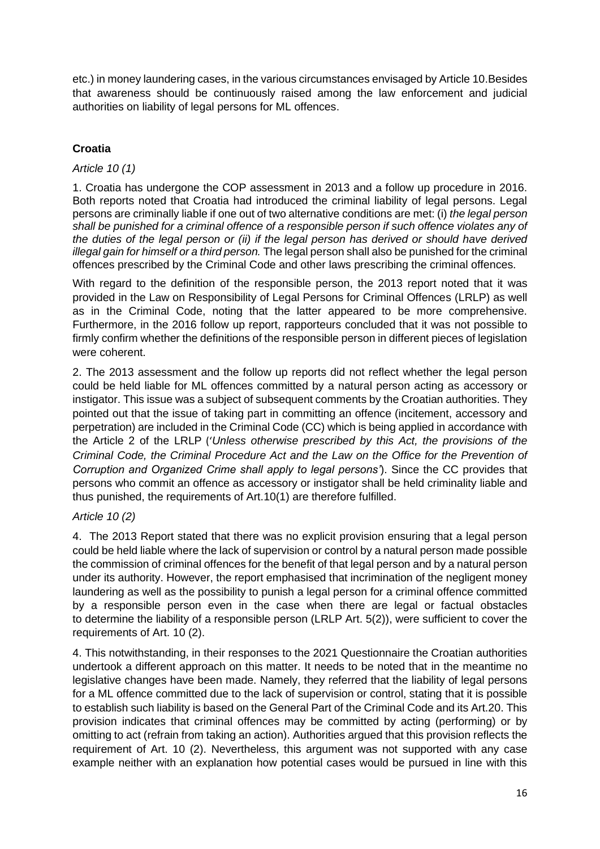etc.) in money laundering cases, in the various circumstances envisaged by Article 10.Besides that awareness should be continuously raised among the law enforcement and judicial authorities on liability of legal persons for ML offences.

# **Croatia**

### *Article 10 (1)*

1. Croatia has undergone the COP assessment in 2013 and a follow up procedure in 2016. Both reports noted that Croatia had introduced the criminal liability of legal persons. Legal persons are criminally liable if one out of two alternative conditions are met: (i) *the legal person shall be punished for a criminal offence of a responsible person if such offence violates any of the duties of the legal person or (ii) if the legal person has derived or should have derived illegal gain for himself or a third person.* The legal person shall also be punished for the criminal offences prescribed by the Criminal Code and other laws prescribing the criminal offences.

With regard to the definition of the responsible person, the 2013 report noted that it was provided in the Law on Responsibility of Legal Persons for Criminal Offences (LRLP) as well as in the Criminal Code, noting that the latter appeared to be more comprehensive. Furthermore, in the 2016 follow up report, rapporteurs concluded that it was not possible to firmly confirm whether the definitions of the responsible person in different pieces of legislation were coherent.

2. The 2013 assessment and the follow up reports did not reflect whether the legal person could be held liable for ML offences committed by a natural person acting as accessory or instigator. This issue was a subject of subsequent comments by the Croatian authorities. They pointed out that the issue of taking part in committing an offence (incitement, accessory and perpetration) are included in the Criminal Code (CC) which is being applied in accordance with the Article 2 of the LRLP ('*Unless otherwise prescribed by this Act, the provisions of the Criminal Code, the Criminal Procedure Act and the Law on the Office for the Prevention of Corruption and Organized Crime shall apply to legal persons'*). Since the CC provides that persons who commit an offence as accessory or instigator shall be held criminality liable and thus punished, the requirements of Art.10(1) are therefore fulfilled.

### *Article 10 (2)*

4. The 2013 Report stated that there was no explicit provision ensuring that a legal person could be held liable where the lack of supervision or control by a natural person made possible the commission of criminal offences for the benefit of that legal person and by a natural person under its authority. However, the report emphasised that incrimination of the negligent money laundering as well as the possibility to punish a legal person for a criminal offence committed by a responsible person even in the case when there are legal or factual obstacles to determine the liability of a responsible person (LRLP Art. 5(2)), were sufficient to cover the requirements of Art. 10 (2).

4. This notwithstanding, in their responses to the 2021 Questionnaire the Croatian authorities undertook a different approach on this matter. It needs to be noted that in the meantime no legislative changes have been made. Namely, they referred that the liability of legal persons for a ML offence committed due to the lack of supervision or control, stating that it is possible to establish such liability is based on the General Part of the Criminal Code and its Art.20. This provision indicates that criminal offences may be committed by acting (performing) or by omitting to act (refrain from taking an action). Authorities argued that this provision reflects the requirement of Art. 10 (2). Nevertheless, this argument was not supported with any case example neither with an explanation how potential cases would be pursued in line with this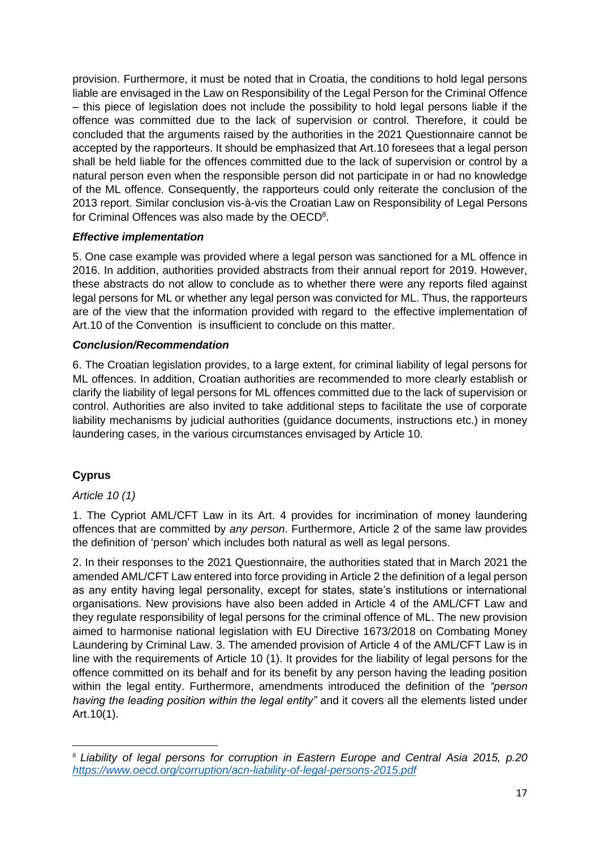provision. Furthermore, it must be noted that in Croatia, the conditions to hold legal persons liable are envisaged in the Law on Responsibility of the Legal Person for the Criminal Offence – this piece of legislation does not include the possibility to hold legal persons liable if the offence was committed due to the lack of supervision or control. Therefore, it could be concluded that the arguments raised by the authorities in the 2021 Questionnaire cannot be accepted by the rapporteurs. It should be emphasized that Art.10 foresees that a legal person shall be held liable for the offences committed due to the lack of supervision or control by a natural person even when the responsible person did not participate in or had no knowledge of the ML offence. Consequently, the rapporteurs could only reiterate the conclusion of the 2013 report. Similar conclusion vis-à-vis the Croatian Law on Responsibility of Legal Persons for Criminal Offences was also made by the OECD<sup>8</sup>.

### *Effective implementation*

5. One case example was provided where a legal person was sanctioned for a ML offence in 2016. In addition, authorities provided abstracts from their annual report for 2019. However, these abstracts do not allow to conclude as to whether there were any reports filed against legal persons for ML or whether any legal person was convicted for ML. Thus, the rapporteurs are of the view that the information provided with regard to the effective implementation of Art.10 of the Convention is insufficient to conclude on this matter.

### *Conclusion/Recommendation*

6. The Croatian legislation provides, to a large extent, for criminal liability of legal persons for ML offences. In addition, Croatian authorities are recommended to more clearly establish or clarify the liability of legal persons for ML offences committed due to the lack of supervision or control. Authorities are also invited to take additional steps to facilitate the use of corporate liability mechanisms by judicial authorities (guidance documents, instructions etc.) in money laundering cases, in the various circumstances envisaged by Article 10.

# **Cyprus**

### *Article 10 (1)*

1. The Cypriot AML/CFT Law in its Art. 4 provides for incrimination of money laundering offences that are committed by *any person*. Furthermore, Article 2 of the same law provides the definition of 'person' which includes both natural as well as legal persons.

2. In their responses to the 2021 Questionnaire, the authorities stated that in March 2021 the amended AML/CFT Law entered into force providing in Article 2 the definition of a legal person as any entity having legal personality, except for states, state's institutions or international organisations. New provisions have also been added in Article 4 of the AML/CFT Law and they regulate responsibility of legal persons for the criminal offence of ML. The new provision aimed to harmonise national legislation with EU Directive 1673/2018 on Combating Money Laundering by Criminal Law. 3. The amended provision of Article 4 of the AML/CFT Law is in line with the requirements of Article 10 (1). It provides for the liability of legal persons for the offence committed on its behalf and for its benefit by any person having the leading position within the legal entity. Furthermore, amendments introduced the definition of the *"person having the leading position within the legal entity"* and it covers all the elements listed under Art.10(1).

<sup>8</sup> *Liability of legal persons for corruption in Eastern Europe and Central Asia 2015, p.20 <https://www.oecd.org/corruption/acn-liability-of-legal-persons-2015.pdf>*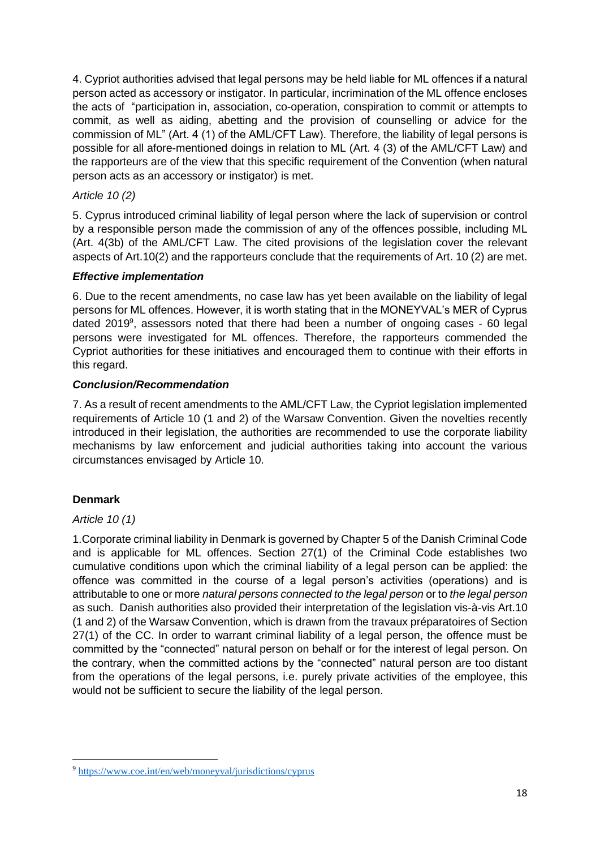4. Cypriot authorities advised that legal persons may be held liable for ML offences if a natural person acted as accessory or instigator. In particular, incrimination of the ML offence encloses the acts of "participation in, association, co-operation, conspiration to commit or attempts to commit, as well as aiding, abetting and the provision of counselling or advice for the commission of ML" (Art. 4 (1) of the AML/CFT Law). Therefore, the liability of legal persons is possible for all afore-mentioned doings in relation to ML (Art. 4 (3) of the AML/CFT Law) and the rapporteurs are of the view that this specific requirement of the Convention (when natural person acts as an accessory or instigator) is met.

# *Article 10 (2)*

5. Cyprus introduced criminal liability of legal person where the lack of supervision or control by a responsible person made the commission of any of the offences possible, including ML (Art. 4(3b) of the AML/CFT Law. The cited provisions of the legislation cover the relevant aspects of Art.10(2) and the rapporteurs conclude that the requirements of Art. 10 (2) are met.

# *Effective implementation*

6. Due to the recent amendments, no case law has yet been available on the liability of legal persons for ML offences. However, it is worth stating that in the MONEYVAL's MER of Cyprus dated 2019<sup>9</sup>, assessors noted that there had been a number of ongoing cases - 60 legal persons were investigated for ML offences. Therefore, the rapporteurs commended the Cypriot authorities for these initiatives and encouraged them to continue with their efforts in this regard.

### *Conclusion/Recommendation*

7. As a result of recent amendments to the AML/CFT Law, the Cypriot legislation implemented requirements of Article 10 (1 and 2) of the Warsaw Convention. Given the novelties recently introduced in their legislation, the authorities are recommended to use the corporate liability mechanisms by law enforcement and judicial authorities taking into account the various circumstances envisaged by Article 10.

# **Denmark**

### *Article 10 (1)*

1.Corporate criminal liability in Denmark is governed by Chapter 5 of the Danish Criminal Code and is applicable for ML offences. Section 27(1) of the Criminal Code establishes two cumulative conditions upon which the criminal liability of a legal person can be applied: the offence was committed in the course of a legal person's activities (operations) and is attributable to one or more *natural persons connected to the legal person* or to *the legal person*  as such. Danish authorities also provided their interpretation of the legislation vis-à-vis Art.10 (1 and 2) of the Warsaw Convention, which is drawn from the travaux préparatoires of Section 27(1) of the CC. In order to warrant criminal liability of a legal person, the offence must be committed by the "connected" natural person on behalf or for the interest of legal person. On the contrary, when the committed actions by the "connected" natural person are too distant from the operations of the legal persons, i.e. purely private activities of the employee, this would not be sufficient to secure the liability of the legal person.

<sup>9</sup> <https://www.coe.int/en/web/moneyval/jurisdictions/cyprus>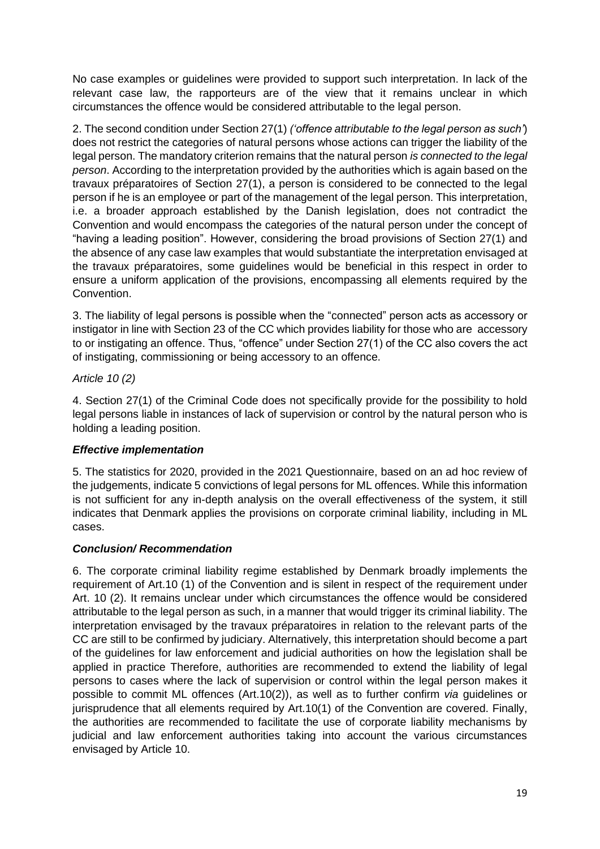No case examples or guidelines were provided to support such interpretation. In lack of the relevant case law, the rapporteurs are of the view that it remains unclear in which circumstances the offence would be considered attributable to the legal person.

2. The second condition under Section 27(1) *('offence attributable to the legal person as such'*) does not restrict the categories of natural persons whose actions can trigger the liability of the legal person. The mandatory criterion remains that the natural person *is connected to the legal person*. According to the interpretation provided by the authorities which is again based on the travaux préparatoires of Section 27(1), a person is considered to be connected to the legal person if he is an employee or part of the management of the legal person. This interpretation, i.e. a broader approach established by the Danish legislation, does not contradict the Convention and would encompass the categories of the natural person under the concept of "having a leading position". However, considering the broad provisions of Section 27(1) and the absence of any case law examples that would substantiate the interpretation envisaged at the travaux préparatoires, some guidelines would be beneficial in this respect in order to ensure a uniform application of the provisions, encompassing all elements required by the Convention.

3. The liability of legal persons is possible when the "connected" person acts as accessory or instigator in line with Section 23 of the CC which provides liability for those who are accessory to or instigating an offence. Thus, "offence" under Section 27(1) of the CC also covers the act of instigating, commissioning or being accessory to an offence.

### *Article 10 (2)*

4. Section 27(1) of the Criminal Code does not specifically provide for the possibility to hold legal persons liable in instances of lack of supervision or control by the natural person who is holding a leading position.

# *Effective implementation*

5. The statistics for 2020, provided in the 2021 Questionnaire, based on an ad hoc review of the judgements, indicate 5 convictions of legal persons for ML offences. While this information is not sufficient for any in-depth analysis on the overall effectiveness of the system, it still indicates that Denmark applies the provisions on corporate criminal liability, including in ML cases.

# *Conclusion/ Recommendation*

6. The corporate criminal liability regime established by Denmark broadly implements the requirement of Art.10 (1) of the Convention and is silent in respect of the requirement under Art. 10 (2). It remains unclear under which circumstances the offence would be considered attributable to the legal person as such, in a manner that would trigger its criminal liability. The interpretation envisaged by the travaux préparatoires in relation to the relevant parts of the CC are still to be confirmed by judiciary. Alternatively, this interpretation should become a part of the guidelines for law enforcement and judicial authorities on how the legislation shall be applied in practice Therefore, authorities are recommended to extend the liability of legal persons to cases where the lack of supervision or control within the legal person makes it possible to commit ML offences (Art.10(2)), as well as to further confirm *via* guidelines or jurisprudence that all elements required by Art.10(1) of the Convention are covered. Finally, the authorities are recommended to facilitate the use of corporate liability mechanisms by judicial and law enforcement authorities taking into account the various circumstances envisaged by Article 10.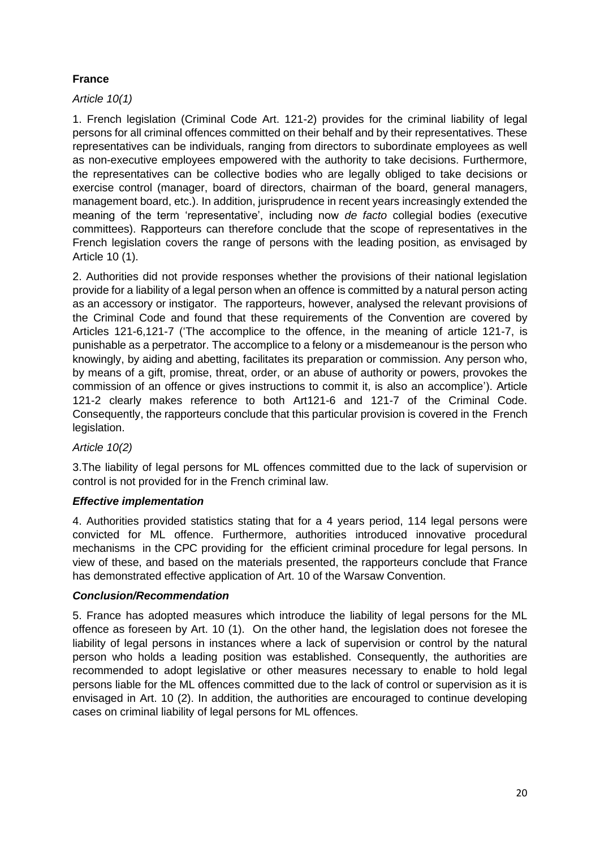# **France**

# *Article 10(1)*

1. French legislation (Criminal Code Art. 121-2) provides for the criminal liability of legal persons for all criminal offences committed on their behalf and by their representatives. These representatives can be individuals, ranging from directors to subordinate employees as well as non-executive employees empowered with the authority to take decisions. Furthermore, the representatives can be collective bodies who are legally obliged to take decisions or exercise control (manager, board of directors, chairman of the board, general managers, management board, etc.). In addition, jurisprudence in recent years increasingly extended the meaning of the term 'representative', including now *de facto* collegial bodies (executive committees). Rapporteurs can therefore conclude that the scope of representatives in the French legislation covers the range of persons with the leading position, as envisaged by Article 10 (1).

2. Authorities did not provide responses whether the provisions of their national legislation provide for a liability of a legal person when an offence is committed by a natural person acting as an accessory or instigator. The rapporteurs, however, analysed the relevant provisions of the Criminal Code and found that these requirements of the Convention are covered by Articles 121-6,121-7 ('The accomplice to the offence, in the meaning of article 121-7, is punishable as a perpetrator. The accomplice to a felony or a misdemeanour is the person who knowingly, by aiding and abetting, facilitates its preparation or commission. Any person who, by means of a gift, promise, threat, order, or an abuse of authority or powers, provokes the commission of an offence or gives instructions to commit it, is also an accomplice'). Article 121-2 clearly makes reference to both Art121-6 and 121-7 of the Criminal Code. Consequently, the rapporteurs conclude that this particular provision is covered in the French legislation.

### *Article 10(2)*

3.The liability of legal persons for ML offences committed due to the lack of supervision or control is not provided for in the French criminal law.

# *Effective implementation*

4. Authorities provided statistics stating that for a 4 years period, 114 legal persons were convicted for ML offence. Furthermore, authorities introduced innovative procedural mechanisms in the CPC providing for the efficient criminal procedure for legal persons. In view of these, and based on the materials presented, the rapporteurs conclude that France has demonstrated effective application of Art. 10 of the Warsaw Convention.

### *Conclusion/Recommendation*

5. France has adopted measures which introduce the liability of legal persons for the ML offence as foreseen by Art. 10 (1). On the other hand, the legislation does not foresee the liability of legal persons in instances where a lack of supervision or control by the natural person who holds a leading position was established. Consequently, the authorities are recommended to adopt legislative or other measures necessary to enable to hold legal persons liable for the ML offences committed due to the lack of control or supervision as it is envisaged in Art. 10 (2). In addition, the authorities are encouraged to continue developing cases on criminal liability of legal persons for ML offences.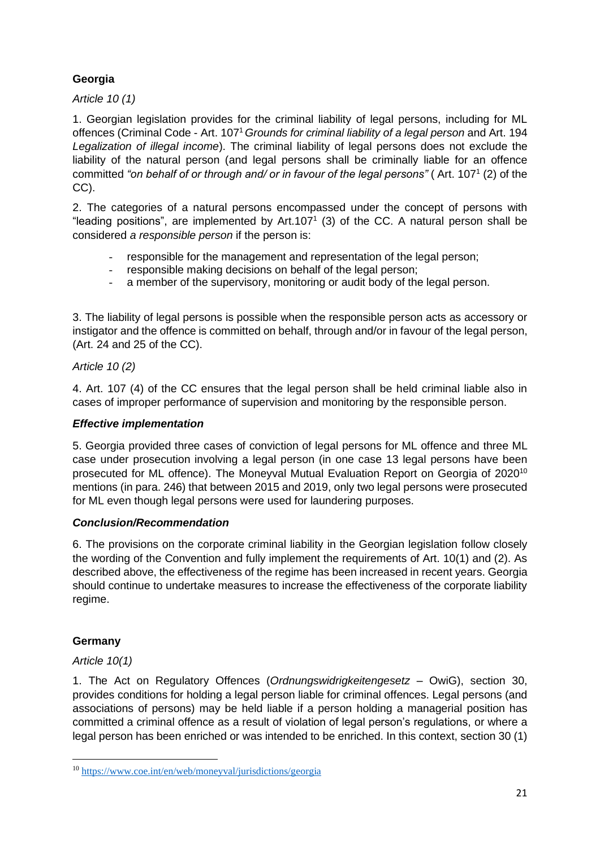# **Georgia**

*Article 10 (1)*

1. Georgian legislation provides for the criminal liability of legal persons, including for ML offences (Criminal Code - Art. 107<sup>1</sup>*Grounds for criminal liability of a legal person* and Art. 194 *Legalization of illegal income*). The criminal liability of legal persons does not exclude the liability of the natural person (and legal persons shall be criminally liable for an offence committed *"on behalf of or through and/ or in favour of the legal persons"* ( Art. 107<sup>1</sup> (2) of the CC).

2. The categories of a natural persons encompassed under the concept of persons with "leading positions", are implemented by Art.107<sup>1</sup> (3) of the CC. A natural person shall be considered *a responsible person* if the person is:

- responsible for the management and representation of the legal person;
- responsible making decisions on behalf of the legal person;
- a member of the supervisory, monitoring or audit body of the legal person.

3. The liability of legal persons is possible when the responsible person acts as accessory or instigator and the offence is committed on behalf, through and/or in favour of the legal person, (Art. 24 and 25 of the CC).

# *Article 10 (2)*

4. Art. 107 (4) of the CC ensures that the legal person shall be held criminal liable also in cases of improper performance of supervision and monitoring by the responsible person.

### *Effective implementation*

5. Georgia provided three cases of conviction of legal persons for ML offence and three ML case under prosecution involving a legal person (in one case 13 legal persons have been prosecuted for ML offence). The Moneyval Mutual Evaluation Report on Georgia of 2020<sup>10</sup> mentions (in para. 246) that between 2015 and 2019, only two legal persons were prosecuted for ML even though legal persons were used for laundering purposes.

# *Conclusion/Recommendation*

6. The provisions on the corporate criminal liability in the Georgian legislation follow closely the wording of the Convention and fully implement the requirements of Art. 10(1) and (2). As described above, the effectiveness of the regime has been increased in recent years. Georgia should continue to undertake measures to increase the effectiveness of the corporate liability regime.

# **Germany**

# *Article 10(1)*

1. The Act on Regulatory Offences (*Ordnungswidrigkeitengesetz* – OwiG), section 30, provides conditions for holding a legal person liable for criminal offences. Legal persons (and associations of persons) may be held liable if a person holding a managerial position has committed a criminal offence as a result of violation of legal person's regulations, or where a legal person has been enriched or was intended to be enriched. In this context, section 30 (1)

<sup>10</sup> <https://www.coe.int/en/web/moneyval/jurisdictions/georgia>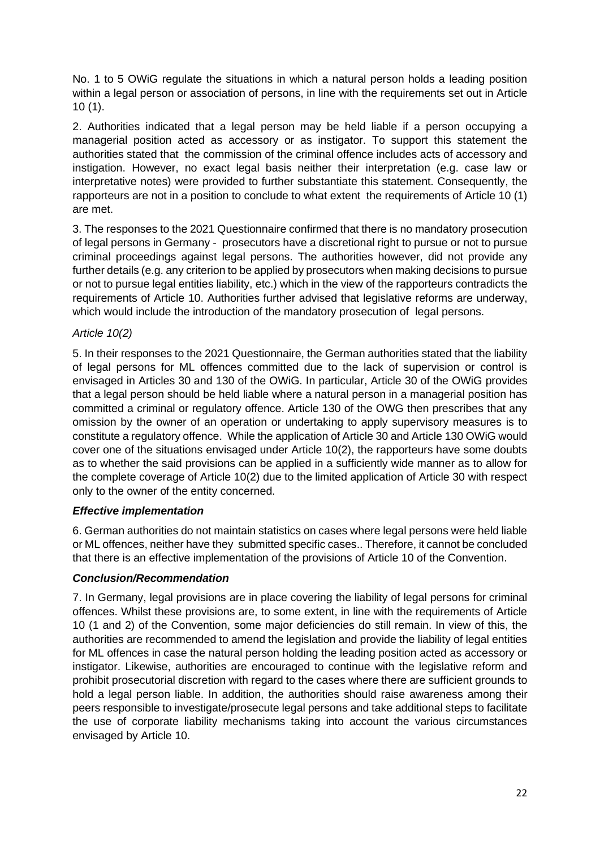No. 1 to 5 OWiG regulate the situations in which a natural person holds a leading position within a legal person or association of persons, in line with the requirements set out in Article 10 (1).

2. Authorities indicated that a legal person may be held liable if a person occupying a managerial position acted as accessory or as instigator. To support this statement the authorities stated that the commission of the criminal offence includes acts of accessory and instigation. However, no exact legal basis neither their interpretation (e.g. case law or interpretative notes) were provided to further substantiate this statement. Consequently, the rapporteurs are not in a position to conclude to what extent the requirements of Article 10 (1) are met.

3. The responses to the 2021 Questionnaire confirmed that there is no mandatory prosecution of legal persons in Germany - prosecutors have a discretional right to pursue or not to pursue criminal proceedings against legal persons. The authorities however, did not provide any further details (e.g. any criterion to be applied by prosecutors when making decisions to pursue or not to pursue legal entities liability, etc.) which in the view of the rapporteurs contradicts the requirements of Article 10. Authorities further advised that legislative reforms are underway, which would include the introduction of the mandatory prosecution of legal persons.

# *Article 10(2)*

5. In their responses to the 2021 Questionnaire, the German authorities stated that the liability of legal persons for ML offences committed due to the lack of supervision or control is envisaged in Articles 30 and 130 of the OWiG. In particular, Article 30 of the OWiG provides that a legal person should be held liable where a natural person in a managerial position has committed a criminal or regulatory offence. Article 130 of the OWG then prescribes that any omission by the owner of an operation or undertaking to apply supervisory measures is to constitute a regulatory offence. While the application of Article 30 and Article 130 OWiG would cover one of the situations envisaged under Article 10(2), the rapporteurs have some doubts as to whether the said provisions can be applied in a sufficiently wide manner as to allow for the complete coverage of Article 10(2) due to the limited application of Article 30 with respect only to the owner of the entity concerned.

# *Effective implementation*

6. German authorities do not maintain statistics on cases where legal persons were held liable or ML offences, neither have they submitted specific cases.. Therefore, it cannot be concluded that there is an effective implementation of the provisions of Article 10 of the Convention.

### *Conclusion/Recommendation*

7. In Germany, legal provisions are in place covering the liability of legal persons for criminal offences. Whilst these provisions are, to some extent, in line with the requirements of Article 10 (1 and 2) of the Convention, some major deficiencies do still remain. In view of this, the authorities are recommended to amend the legislation and provide the liability of legal entities for ML offences in case the natural person holding the leading position acted as accessory or instigator. Likewise, authorities are encouraged to continue with the legislative reform and prohibit prosecutorial discretion with regard to the cases where there are sufficient grounds to hold a legal person liable. In addition, the authorities should raise awareness among their peers responsible to investigate/prosecute legal persons and take additional steps to facilitate the use of corporate liability mechanisms taking into account the various circumstances envisaged by Article 10.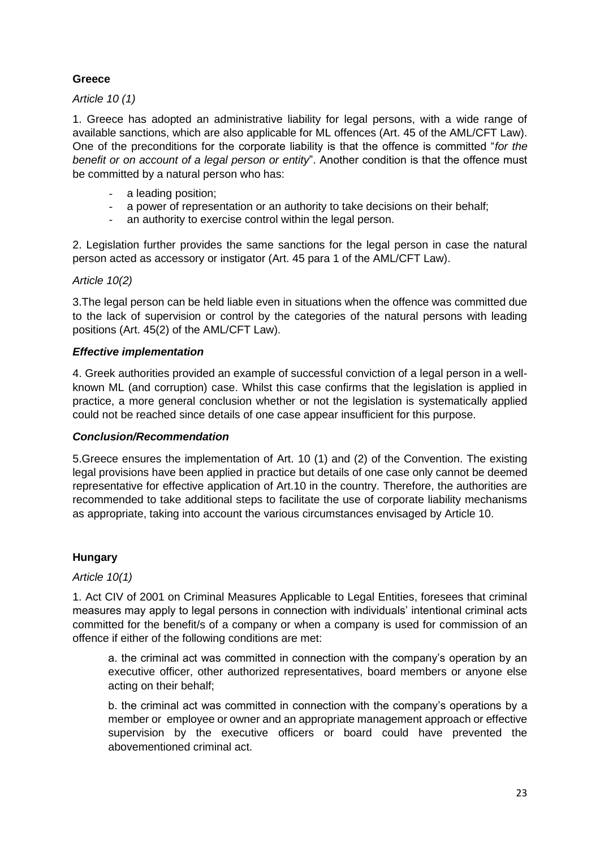# **Greece**

### *Article 10 (1)*

1. Greece has adopted an administrative liability for legal persons, with a wide range of available sanctions, which are also applicable for ML offences (Art. 45 of the AML/CFT Law). One of the preconditions for the corporate liability is that the offence is committed "*for the benefit or on account of a legal person or entity*". Another condition is that the offence must be committed by a natural person who has:

- a leading position;
- a power of representation or an authority to take decisions on their behalf:
- an authority to exercise control within the legal person.

2. Legislation further provides the same sanctions for the legal person in case the natural person acted as accessory or instigator (Art. 45 para 1 of the AML/CFT Law).

*Article 10(2)*

3.The legal person can be held liable even in situations when the offence was committed due to the lack of supervision or control by the categories of the natural persons with leading positions (Art. 45(2) of the AML/CFT Law).

### *Effective implementation*

4. Greek authorities provided an example of successful conviction of a legal person in a wellknown ML (and corruption) case. Whilst this case confirms that the legislation is applied in practice, a more general conclusion whether or not the legislation is systematically applied could not be reached since details of one case appear insufficient for this purpose.

### *Conclusion/Recommendation*

5.Greece ensures the implementation of Art. 10 (1) and (2) of the Convention. The existing legal provisions have been applied in practice but details of one case only cannot be deemed representative for effective application of Art.10 in the country. Therefore, the authorities are recommended to take additional steps to facilitate the use of corporate liability mechanisms as appropriate, taking into account the various circumstances envisaged by Article 10.

### **Hungary**

*Article 10(1)*

1. Act CIV of 2001 on Criminal Measures Applicable to Legal Entities, foresees that criminal measures may apply to legal persons in connection with individuals' intentional criminal acts committed for the benefit/s of a company or when a company is used for commission of an offence if either of the following conditions are met:

a. the criminal act was committed in connection with the company's operation by an executive officer, other authorized representatives, board members or anyone else acting on their behalf;

b. the criminal act was committed in connection with the company's operations by a member or employee or owner and an appropriate management approach or effective supervision by the executive officers or board could have prevented the abovementioned criminal act.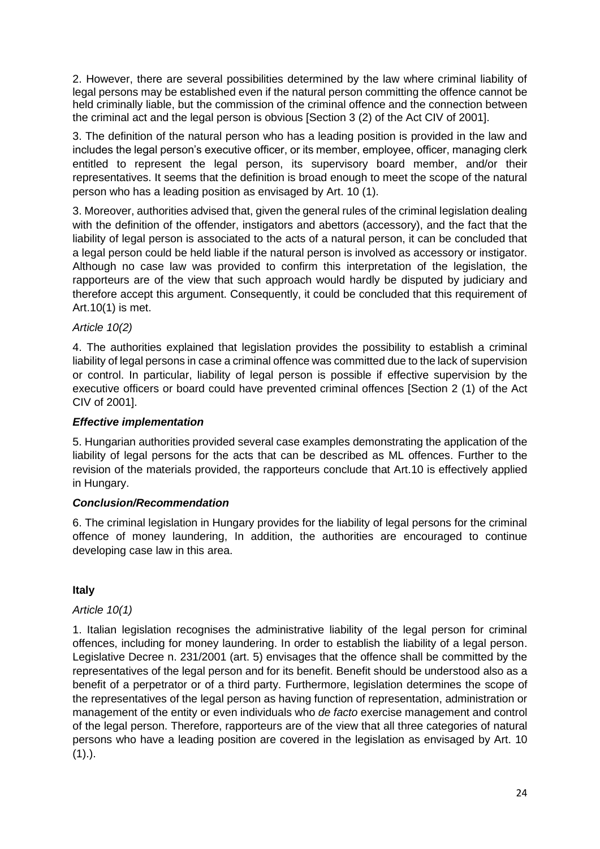2. However, there are several possibilities determined by the law where criminal liability of legal persons may be established even if the natural person committing the offence cannot be held criminally liable, but the commission of the criminal offence and the connection between the criminal act and the legal person is obvious [Section 3 (2) of the Act CIV of 2001].

3. The definition of the natural person who has a leading position is provided in the law and includes the legal person's executive officer, or its member, employee, officer, managing clerk entitled to represent the legal person, its supervisory board member, and/or their representatives. It seems that the definition is broad enough to meet the scope of the natural person who has a leading position as envisaged by Art. 10 (1).

3. Moreover, authorities advised that, given the general rules of the criminal legislation dealing with the definition of the offender, instigators and abettors (accessory), and the fact that the liability of legal person is associated to the acts of a natural person, it can be concluded that a legal person could be held liable if the natural person is involved as accessory or instigator. Although no case law was provided to confirm this interpretation of the legislation, the rapporteurs are of the view that such approach would hardly be disputed by judiciary and therefore accept this argument. Consequently, it could be concluded that this requirement of Art.10(1) is met.

# *Article 10(2)*

4. The authorities explained that legislation provides the possibility to establish a criminal liability of legal persons in case a criminal offence was committed due to the lack of supervision or control. In particular, liability of legal person is possible if effective supervision by the executive officers or board could have prevented criminal offences [Section 2 (1) of the Act CIV of 2001].

### *Effective implementation*

5. Hungarian authorities provided several case examples demonstrating the application of the liability of legal persons for the acts that can be described as ML offences. Further to the revision of the materials provided, the rapporteurs conclude that Art.10 is effectively applied in Hungary.

# *Conclusion/Recommendation*

6. The criminal legislation in Hungary provides for the liability of legal persons for the criminal offence of money laundering, In addition, the authorities are encouraged to continue developing case law in this area.

# **Italy**

# *Article 10(1)*

1. Italian legislation recognises the administrative liability of the legal person for criminal offences, including for money laundering. In order to establish the liability of a legal person. Legislative Decree n. 231/2001 (art. 5) envisages that the offence shall be committed by the representatives of the legal person and for its benefit. Benefit should be understood also as a benefit of a perpetrator or of a third party. Furthermore, legislation determines the scope of the representatives of the legal person as having function of representation, administration or management of the entity or even individuals who *de facto* exercise management and control of the legal person. Therefore, rapporteurs are of the view that all three categories of natural persons who have a leading position are covered in the legislation as envisaged by Art. 10  $(1).$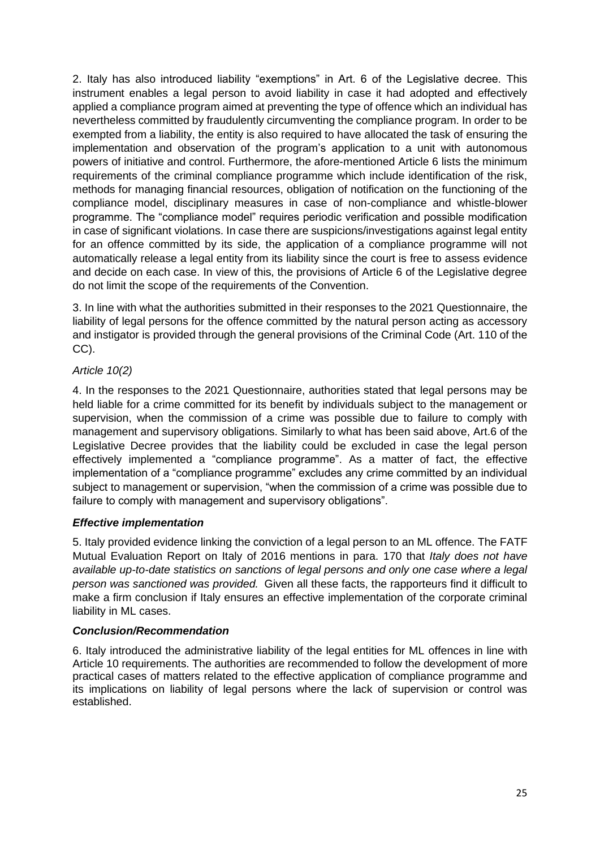2. Italy has also introduced liability "exemptions" in Art. 6 of the Legislative decree. This instrument enables a legal person to avoid liability in case it had adopted and effectively applied a compliance program aimed at preventing the type of offence which an individual has nevertheless committed by fraudulently circumventing the compliance program. In order to be exempted from a liability, the entity is also required to have allocated the task of ensuring the implementation and observation of the program's application to a unit with autonomous powers of initiative and control. Furthermore, the afore-mentioned Article 6 lists the minimum requirements of the criminal compliance programme which include identification of the risk, methods for managing financial resources, obligation of notification on the functioning of the compliance model, disciplinary measures in case of non-compliance and whistle-blower programme. The "compliance model" requires periodic verification and possible modification in case of significant violations. In case there are suspicions/investigations against legal entity for an offence committed by its side, the application of a compliance programme will not automatically release a legal entity from its liability since the court is free to assess evidence and decide on each case. In view of this, the provisions of Article 6 of the Legislative degree do not limit the scope of the requirements of the Convention.

3. In line with what the authorities submitted in their responses to the 2021 Questionnaire, the liability of legal persons for the offence committed by the natural person acting as accessory and instigator is provided through the general provisions of the Criminal Code (Art. 110 of the CC).

# *Article 10(2)*

4. In the responses to the 2021 Questionnaire, authorities stated that legal persons may be held liable for a crime committed for its benefit by individuals subject to the management or supervision, when the commission of a crime was possible due to failure to comply with management and supervisory obligations. Similarly to what has been said above, Art.6 of the Legislative Decree provides that the liability could be excluded in case the legal person effectively implemented a "compliance programme". As a matter of fact, the effective implementation of a "compliance programme" excludes any crime committed by an individual subject to management or supervision, "when the commission of a crime was possible due to failure to comply with management and supervisory obligations".

# *Effective implementation*

5. Italy provided evidence linking the conviction of a legal person to an ML offence. The FATF Mutual Evaluation Report on Italy of 2016 mentions in para. 170 that *Italy does not have available up-to-date statistics on sanctions of legal persons and only one case where a legal person was sanctioned was provided.* Given all these facts, the rapporteurs find it difficult to make a firm conclusion if Italy ensures an effective implementation of the corporate criminal liability in ML cases.

# *Conclusion/Recommendation*

6. Italy introduced the administrative liability of the legal entities for ML offences in line with Article 10 requirements. The authorities are recommended to follow the development of more practical cases of matters related to the effective application of compliance programme and its implications on liability of legal persons where the lack of supervision or control was established.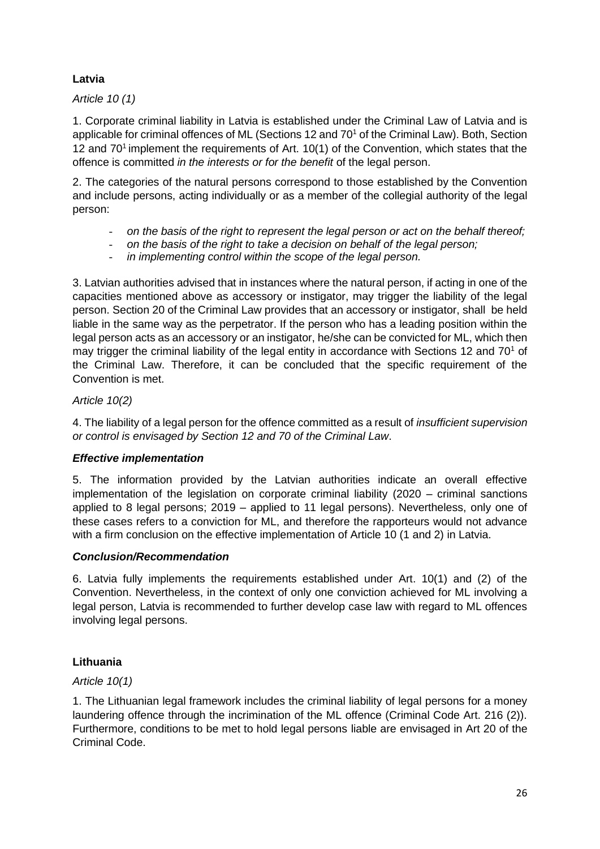# **Latvia**

*Article 10 (1)*

1. Corporate criminal liability in Latvia is established under the Criminal Law of Latvia and is applicable for criminal offences of ML (Sections 12 and 70<sup>1</sup> of the Criminal Law). Both, Section 12 and  $70<sup>1</sup>$  implement the requirements of Art. 10(1) of the Convention, which states that the offence is committed *in the interests or for the benefit* of the legal person.

2. The categories of the natural persons correspond to those established by the Convention and include persons, acting individually or as a member of the collegial authority of the legal person:

- *on the basis of the right to represent the legal person or act on the behalf thereof;*
- *on the basis of the right to take a decision on behalf of the legal person;*
- *in implementing control within the scope of the legal person.*

3. Latvian authorities advised that in instances where the natural person, if acting in one of the capacities mentioned above as accessory or instigator, may trigger the liability of the legal person. Section 20 of the Criminal Law provides that an accessory or instigator, shall be held liable in the same way as the perpetrator. If the person who has a leading position within the legal person acts as an accessory or an instigator, he/she can be convicted for ML, which then may trigger the criminal liability of the legal entity in accordance with Sections 12 and  $70<sup>1</sup>$  of the Criminal Law. Therefore, it can be concluded that the specific requirement of the Convention is met.

### *Article 10(2)*

4. The liability of a legal person for the offence committed as a result of *insufficient supervision or control is envisaged by Section 12 and 70 of the Criminal Law*.

### *Effective implementation*

5. The information provided by the Latvian authorities indicate an overall effective implementation of the legislation on corporate criminal liability (2020 – criminal sanctions applied to 8 legal persons; 2019 – applied to 11 legal persons). Nevertheless, only one of these cases refers to a conviction for ML, and therefore the rapporteurs would not advance with a firm conclusion on the effective implementation of Article 10 (1 and 2) in Latvia.

### *Conclusion/Recommendation*

6. Latvia fully implements the requirements established under Art. 10(1) and (2) of the Convention. Nevertheless, in the context of only one conviction achieved for ML involving a legal person, Latvia is recommended to further develop case law with regard to ML offences involving legal persons.

# **Lithuania**

*Article 10(1)*

1. The Lithuanian legal framework includes the criminal liability of legal persons for a money laundering offence through the incrimination of the ML offence (Criminal Code Art. 216 (2)). Furthermore, conditions to be met to hold legal persons liable are envisaged in Art 20 of the Criminal Code.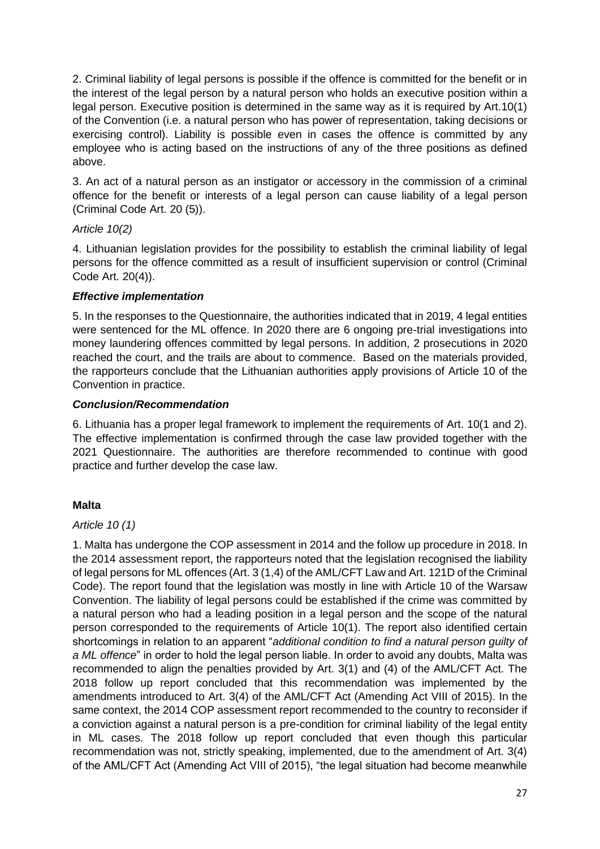2. Criminal liability of legal persons is possible if the offence is committed for the benefit or in the interest of the legal person by a natural person who holds an executive position within a legal person. Executive position is determined in the same way as it is required by Art.10(1) of the Convention (i.e. a natural person who has power of representation, taking decisions or exercising control). Liability is possible even in cases the offence is committed by any employee who is acting based on the instructions of any of the three positions as defined above.

3. An act of a natural person as an instigator or accessory in the commission of a criminal offence for the benefit or interests of a legal person can cause liability of a legal person (Criminal Code Art. 20 (5)).

### *Article 10(2)*

4. Lithuanian legislation provides for the possibility to establish the criminal liability of legal persons for the offence committed as a result of insufficient supervision or control (Criminal Code Art. 20(4)).

### *Effective implementation*

5. In the responses to the Questionnaire, the authorities indicated that in 2019, 4 legal entities were sentenced for the ML offence. In 2020 there are 6 ongoing pre-trial investigations into money laundering offences committed by legal persons. In addition, 2 prosecutions in 2020 reached the court, and the trails are about to commence. Based on the materials provided, the rapporteurs conclude that the Lithuanian authorities apply provisions of Article 10 of the Convention in practice.

### *Conclusion/Recommendation*

6. Lithuania has a proper legal framework to implement the requirements of Art. 10(1 and 2). The effective implementation is confirmed through the case law provided together with the 2021 Questionnaire. The authorities are therefore recommended to continue with good practice and further develop the case law.

# **Malta**

### *Article 10 (1)*

1. Malta has undergone the COP assessment in 2014 and the follow up procedure in 2018. In the 2014 assessment report, the rapporteurs noted that the legislation recognised the liability of legal persons for ML offences (Art. 3 (1,4) of the AML/CFT Law and Art. 121D of the Criminal Code). The report found that the legislation was mostly in line with Article 10 of the Warsaw Convention. The liability of legal persons could be established if the crime was committed by a natural person who had a leading position in a legal person and the scope of the natural person corresponded to the requirements of Article 10(1). The report also identified certain shortcomings in relation to an apparent "*additional condition to find a natural person guilty of a ML offence*" in order to hold the legal person liable. In order to avoid any doubts, Malta was recommended to align the penalties provided by Art. 3(1) and (4) of the AML/CFT Act. The 2018 follow up report concluded that this recommendation was implemented by the amendments introduced to Art. 3(4) of the AML/CFT Act (Amending Act VIII of 2015). In the same context, the 2014 COP assessment report recommended to the country to reconsider if a conviction against a natural person is a pre-condition for criminal liability of the legal entity in ML cases. The 2018 follow up report concluded that even though this particular recommendation was not, strictly speaking, implemented, due to the amendment of Art. 3(4) of the AML/CFT Act (Amending Act VIII of 2015), "the legal situation had become meanwhile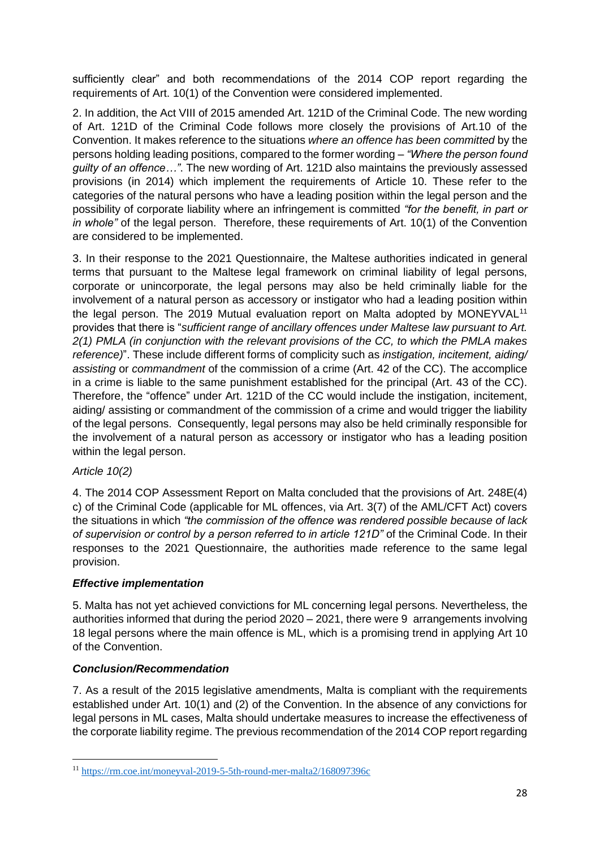sufficiently clear" and both recommendations of the 2014 COP report regarding the requirements of Art. 10(1) of the Convention were considered implemented.

2. In addition, the Act VIII of 2015 amended Art. 121D of the Criminal Code. The new wording of Art. 121D of the Criminal Code follows more closely the provisions of Art.10 of the Convention. It makes reference to the situations *where an offence has been committed* by the persons holding leading positions, compared to the former wording – *"Where the person found guilty of an offence…"*. The new wording of Art. 121D also maintains the previously assessed provisions (in 2014) which implement the requirements of Article 10. These refer to the categories of the natural persons who have a leading position within the legal person and the possibility of corporate liability where an infringement is committed *"for the benefit, in part or in whole"* of the legal person. Therefore, these requirements of Art. 10(1) of the Convention are considered to be implemented.

3. In their response to the 2021 Questionnaire, the Maltese authorities indicated in general terms that pursuant to the Maltese legal framework on criminal liability of legal persons, corporate or unincorporate, the legal persons may also be held criminally liable for the involvement of a natural person as accessory or instigator who had a leading position within the legal person. The 2019 Mutual evaluation report on Malta adopted by MONEYVAL<sup>11</sup> provides that there is "*sufficient range of ancillary offences under Maltese law pursuant to Art. 2(1) PMLA (in conjunction with the relevant provisions of the CC, to which the PMLA makes reference)*". These include different forms of complicity such as *instigation, incitement, aiding/ assisting* or *commandment* of the commission of a crime (Art. 42 of the CC). The accomplice in a crime is liable to the same punishment established for the principal (Art. 43 of the CC). Therefore, the "offence" under Art. 121D of the CC would include the instigation, incitement, aiding/ assisting or commandment of the commission of a crime and would trigger the liability of the legal persons. Consequently, legal persons may also be held criminally responsible for the involvement of a natural person as accessory or instigator who has a leading position within the legal person.

# *Article 10(2)*

4. The 2014 COP Assessment Report on Malta concluded that the provisions of Art. 248E(4) c) of the Criminal Code (applicable for ML offences, via Art. 3(7) of the AML/CFT Act) covers the situations in which *"the commission of the offence was rendered possible because of lack of supervision or control by a person referred to in article 121D"* of the Criminal Code. In their responses to the 2021 Questionnaire, the authorities made reference to the same legal provision.

# *Effective implementation*

5. Malta has not yet achieved convictions for ML concerning legal persons. Nevertheless, the authorities informed that during the period 2020 – 2021, there were 9 arrangements involving 18 legal persons where the main offence is ML, which is a promising trend in applying Art 10 of the Convention.

### *Conclusion/Recommendation*

7. As a result of the 2015 legislative amendments, Malta is compliant with the requirements established under Art. 10(1) and (2) of the Convention. In the absence of any convictions for legal persons in ML cases, Malta should undertake measures to increase the effectiveness of the corporate liability regime. The previous recommendation of the 2014 COP report regarding

<sup>11</sup> <https://rm.coe.int/moneyval-2019-5-5th-round-mer-malta2/168097396c>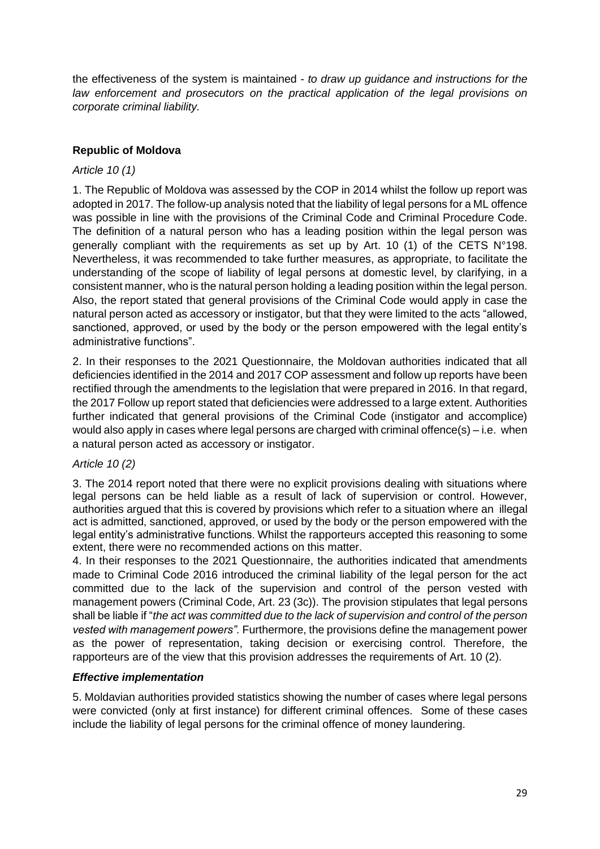the effectiveness of the system is maintained - *to draw up guidance and instructions for the law enforcement and prosecutors on the practical application of the legal provisions on corporate criminal liability.* 

# **Republic of Moldova**

### *Article 10 (1)*

1. The Republic of Moldova was assessed by the COP in 2014 whilst the follow up report was adopted in 2017. The follow-up analysis noted that the liability of legal persons for a ML offence was possible in line with the provisions of the Criminal Code and Criminal Procedure Code. The definition of a natural person who has a leading position within the legal person was generally compliant with the requirements as set up by Art. 10 (1) of the CETS N°198. Nevertheless, it was recommended to take further measures, as appropriate, to facilitate the understanding of the scope of liability of legal persons at domestic level, by clarifying, in a consistent manner, who is the natural person holding a leading position within the legal person. Also, the report stated that general provisions of the Criminal Code would apply in case the natural person acted as accessory or instigator, but that they were limited to the acts "allowed, sanctioned, approved, or used by the body or the person empowered with the legal entity's administrative functions".

2. In their responses to the 2021 Questionnaire, the Moldovan authorities indicated that all deficiencies identified in the 2014 and 2017 COP assessment and follow up reports have been rectified through the amendments to the legislation that were prepared in 2016. In that regard, the 2017 Follow up report stated that deficiencies were addressed to a large extent. Authorities further indicated that general provisions of the Criminal Code (instigator and accomplice) would also apply in cases where legal persons are charged with criminal offence(s) – i.e. when a natural person acted as accessory or instigator.

### *Article 10 (2)*

3. The 2014 report noted that there were no explicit provisions dealing with situations where legal persons can be held liable as a result of lack of supervision or control. However, authorities argued that this is covered by provisions which refer to a situation where an illegal act is admitted, sanctioned, approved, or used by the body or the person empowered with the legal entity's administrative functions. Whilst the rapporteurs accepted this reasoning to some extent, there were no recommended actions on this matter.

4. In their responses to the 2021 Questionnaire, the authorities indicated that amendments made to Criminal Code 2016 introduced the criminal liability of the legal person for the act committed due to the lack of the supervision and control of the person vested with management powers (Criminal Code, Art. 23 (3c)). The provision stipulates that legal persons shall be liable if "*the act was committed due to the lack of supervision and control of the person vested with management powers".* Furthermore, the provisions define the management power as the power of representation, taking decision or exercising control. Therefore, the rapporteurs are of the view that this provision addresses the requirements of Art. 10 (2).

### *Effective implementation*

5. Moldavian authorities provided statistics showing the number of cases where legal persons were convicted (only at first instance) for different criminal offences. Some of these cases include the liability of legal persons for the criminal offence of money laundering.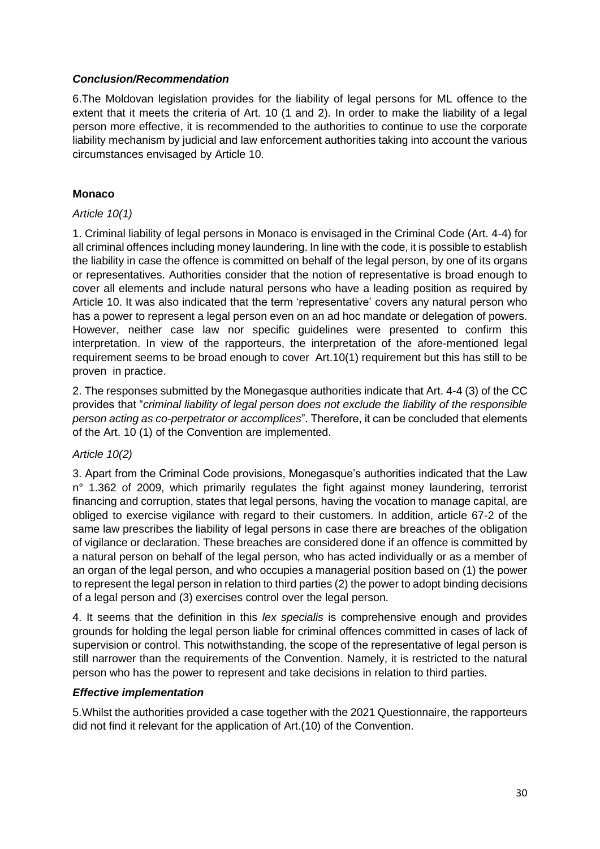### *Conclusion/Recommendation*

6.The Moldovan legislation provides for the liability of legal persons for ML offence to the extent that it meets the criteria of Art. 10 (1 and 2). In order to make the liability of a legal person more effective, it is recommended to the authorities to continue to use the corporate liability mechanism by judicial and law enforcement authorities taking into account the various circumstances envisaged by Article 10.

# **Monaco**

### *Article 10(1)*

1. Criminal liability of legal persons in Monaco is envisaged in the Criminal Code (Art. 4-4) for all criminal offences including money laundering. In line with the code, it is possible to establish the liability in case the offence is committed on behalf of the legal person, by one of its organs or representatives. Authorities consider that the notion of representative is broad enough to cover all elements and include natural persons who have a leading position as required by Article 10. It was also indicated that the term 'representative' covers any natural person who has a power to represent a legal person even on an ad hoc mandate or delegation of powers. However, neither case law nor specific guidelines were presented to confirm this interpretation. In view of the rapporteurs, the interpretation of the afore-mentioned legal requirement seems to be broad enough to cover Art.10(1) requirement but this has still to be proven in practice.

2. The responses submitted by the Monegasque authorities indicate that Art. 4-4 (3) of the CC provides that "*criminal liability of legal person does not exclude the liability of the responsible person acting as co-perpetrator or accomplices*". Therefore, it can be concluded that elements of the Art. 10 (1) of the Convention are implemented.

# *Article 10(2)*

3. Apart from the Criminal Code provisions, Monegasque's authorities indicated that the Law n° 1.362 of 2009, which primarily regulates the fight against money laundering, terrorist financing and corruption, states that legal persons, having the vocation to manage capital, are obliged to exercise vigilance with regard to their customers. In addition, article 67-2 of the same law prescribes the liability of legal persons in case there are breaches of the obligation of vigilance or declaration. These breaches are considered done if an offence is committed by a natural person on behalf of the legal person, who has acted individually or as a member of an organ of the legal person, and who occupies a managerial position based on (1) the power to represent the legal person in relation to third parties (2) the power to adopt binding decisions of a legal person and (3) exercises control over the legal person.

4. It seems that the definition in this *lex specialis* is comprehensive enough and provides grounds for holding the legal person liable for criminal offences committed in cases of lack of supervision or control. This notwithstanding, the scope of the representative of legal person is still narrower than the requirements of the Convention. Namely, it is restricted to the natural person who has the power to represent and take decisions in relation to third parties.

# *Effective implementation*

5.Whilst the authorities provided a case together with the 2021 Questionnaire, the rapporteurs did not find it relevant for the application of Art.(10) of the Convention.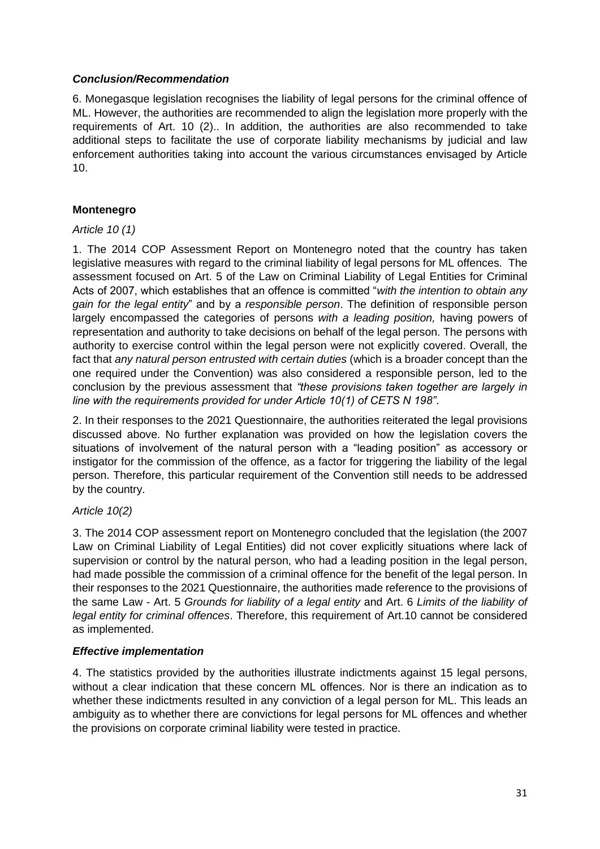### *Conclusion/Recommendation*

6. Monegasque legislation recognises the liability of legal persons for the criminal offence of ML. However, the authorities are recommended to align the legislation more properly with the requirements of Art. 10 (2).. In addition, the authorities are also recommended to take additional steps to facilitate the use of corporate liability mechanisms by judicial and law enforcement authorities taking into account the various circumstances envisaged by Article 10.

# **Montenegro**

### *Article 10 (1)*

1. The 2014 COP Assessment Report on Montenegro noted that the country has taken legislative measures with regard to the criminal liability of legal persons for ML offences. The assessment focused on Art. 5 of the Law on Criminal Liability of Legal Entities for Criminal Acts of 2007, which establishes that an offence is committed "*with the intention to obtain any gain for the legal entity*" and by a *responsible person*. The definition of responsible person largely encompassed the categories of persons *with a leading position,* having powers of representation and authority to take decisions on behalf of the legal person. The persons with authority to exercise control within the legal person were not explicitly covered. Overall, the fact that *any natural person entrusted with certain duties* (which is a broader concept than the one required under the Convention) was also considered a responsible person, led to the conclusion by the previous assessment that *"these provisions taken together are largely in line with the requirements provided for under Article 10(1) of CETS N 198"*.

2. In their responses to the 2021 Questionnaire, the authorities reiterated the legal provisions discussed above. No further explanation was provided on how the legislation covers the situations of involvement of the natural person with a "leading position" as accessory or instigator for the commission of the offence, as a factor for triggering the liability of the legal person. Therefore, this particular requirement of the Convention still needs to be addressed by the country.

### *Article 10(2)*

3. The 2014 COP assessment report on Montenegro concluded that the legislation (the 2007 Law on Criminal Liability of Legal Entities) did not cover explicitly situations where lack of supervision or control by the natural person, who had a leading position in the legal person, had made possible the commission of a criminal offence for the benefit of the legal person. In their responses to the 2021 Questionnaire, the authorities made reference to the provisions of the same Law - Art. 5 *Grounds for liability of a legal entity* and Art. 6 *Limits of the liability of legal entity for criminal offences*. Therefore, this requirement of Art.10 cannot be considered as implemented.

### *Effective implementation*

4. The statistics provided by the authorities illustrate indictments against 15 legal persons, without a clear indication that these concern ML offences. Nor is there an indication as to whether these indictments resulted in any conviction of a legal person for ML. This leads an ambiguity as to whether there are convictions for legal persons for ML offences and whether the provisions on corporate criminal liability were tested in practice.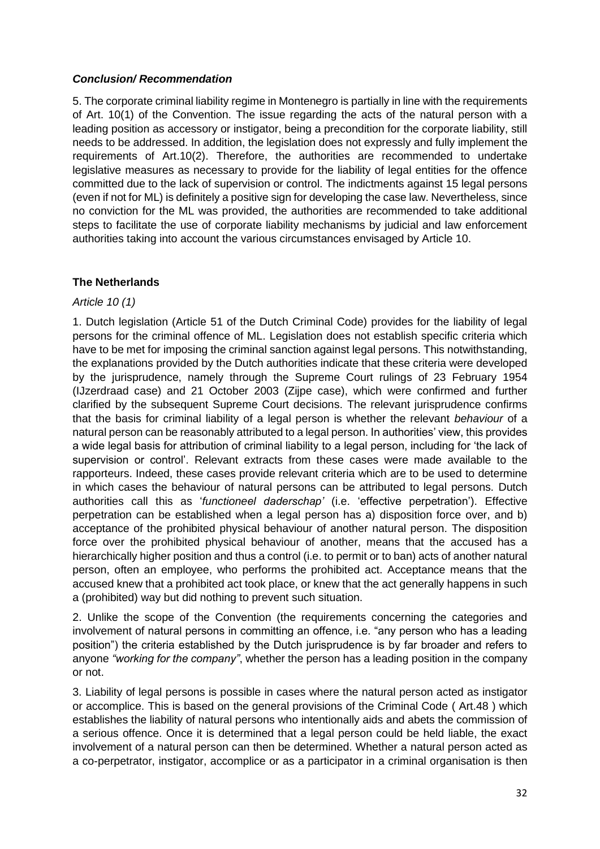### *Conclusion/ Recommendation*

5. The corporate criminal liability regime in Montenegro is partially in line with the requirements of Art. 10(1) of the Convention. The issue regarding the acts of the natural person with a leading position as accessory or instigator, being a precondition for the corporate liability, still needs to be addressed. In addition, the legislation does not expressly and fully implement the requirements of Art.10(2). Therefore, the authorities are recommended to undertake legislative measures as necessary to provide for the liability of legal entities for the offence committed due to the lack of supervision or control. The indictments against 15 legal persons (even if not for ML) is definitely a positive sign for developing the case law. Nevertheless, since no conviction for the ML was provided, the authorities are recommended to take additional steps to facilitate the use of corporate liability mechanisms by judicial and law enforcement authorities taking into account the various circumstances envisaged by Article 10.

### **The Netherlands**

### *Article 10 (1)*

1. Dutch legislation (Article 51 of the Dutch Criminal Code) provides for the liability of legal persons for the criminal offence of ML. Legislation does not establish specific criteria which have to be met for imposing the criminal sanction against legal persons. This notwithstanding, the explanations provided by the Dutch authorities indicate that these criteria were developed by the jurisprudence, namely through the Supreme Court rulings of 23 February 1954 (IJzerdraad case) and 21 October 2003 (Zijpe case), which were confirmed and further clarified by the subsequent Supreme Court decisions. The relevant jurisprudence confirms that the basis for criminal liability of a legal person is whether the relevant *behaviour* of a natural person can be reasonably attributed to a legal person. In authorities' view, this provides a wide legal basis for attribution of criminal liability to a legal person, including for 'the lack of supervision or control'. Relevant extracts from these cases were made available to the rapporteurs. Indeed, these cases provide relevant criteria which are to be used to determine in which cases the behaviour of natural persons can be attributed to legal persons. Dutch authorities call this as '*functioneel daderschap'* (i.e. 'effective perpetration'). Effective perpetration can be established when a legal person has a) disposition force over, and b) acceptance of the prohibited physical behaviour of another natural person. The disposition force over the prohibited physical behaviour of another, means that the accused has a hierarchically higher position and thus a control (i.e. to permit or to ban) acts of another natural person, often an employee, who performs the prohibited act. Acceptance means that the accused knew that a prohibited act took place, or knew that the act generally happens in such a (prohibited) way but did nothing to prevent such situation.

2. Unlike the scope of the Convention (the requirements concerning the categories and involvement of natural persons in committing an offence, i.e. "any person who has a leading position") the criteria established by the Dutch jurisprudence is by far broader and refers to anyone *"working for the company"*, whether the person has a leading position in the company or not.

3. Liability of legal persons is possible in cases where the natural person acted as instigator or accomplice. This is based on the general provisions of the Criminal Code ( Art.48 ) which establishes the liability of natural persons who intentionally aids and abets the commission of a serious offence. Once it is determined that a legal person could be held liable, the exact involvement of a natural person can then be determined. Whether a natural person acted as a co-perpetrator, instigator, accomplice or as a participator in a criminal organisation is then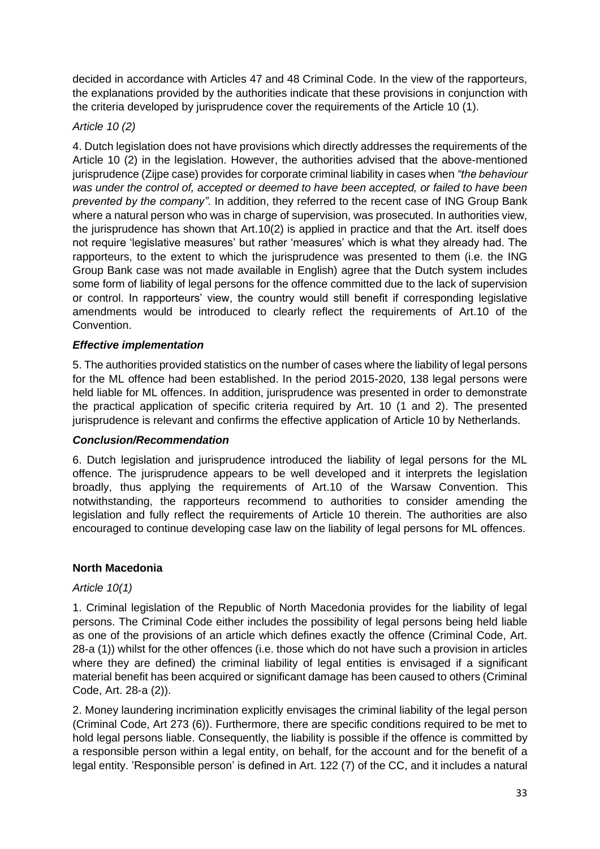decided in accordance with Articles 47 and 48 Criminal Code. In the view of the rapporteurs, the explanations provided by the authorities indicate that these provisions in conjunction with the criteria developed by jurisprudence cover the requirements of the Article 10 (1).

# *Article 10 (2)*

4. Dutch legislation does not have provisions which directly addresses the requirements of the Article 10 (2) in the legislation. However, the authorities advised that the above-mentioned jurisprudence (Zijpe case) provides for corporate criminal liability in cases when *"the behaviour was under the control of, accepted or deemed to have been accepted, or failed to have been prevented by the company".* In addition, they referred to the recent case of ING Group Bank where a natural person who was in charge of supervision, was prosecuted. In authorities view, the jurisprudence has shown that Art.10(2) is applied in practice and that the Art. itself does not require 'legislative measures' but rather 'measures' which is what they already had. The rapporteurs, to the extent to which the jurisprudence was presented to them (i.e. the ING Group Bank case was not made available in English) agree that the Dutch system includes some form of liability of legal persons for the offence committed due to the lack of supervision or control. In rapporteurs' view, the country would still benefit if corresponding legislative amendments would be introduced to clearly reflect the requirements of Art.10 of the Convention.

# *Effective implementation*

5. The authorities provided statistics on the number of cases where the liability of legal persons for the ML offence had been established. In the period 2015-2020, 138 legal persons were held liable for ML offences. In addition, jurisprudence was presented in order to demonstrate the practical application of specific criteria required by Art. 10 (1 and 2). The presented jurisprudence is relevant and confirms the effective application of Article 10 by Netherlands.

### *Conclusion/Recommendation*

6. Dutch legislation and jurisprudence introduced the liability of legal persons for the ML offence. The jurisprudence appears to be well developed and it interprets the legislation broadly, thus applying the requirements of Art.10 of the Warsaw Convention. This notwithstanding, the rapporteurs recommend to authorities to consider amending the legislation and fully reflect the requirements of Article 10 therein. The authorities are also encouraged to continue developing case law on the liability of legal persons for ML offences.

# **North Macedonia**

### *Article 10(1)*

1. Criminal legislation of the Republic of North Macedonia provides for the liability of legal persons. The Criminal Code either includes the possibility of legal persons being held liable as one of the provisions of an article which defines exactly the offence (Criminal Code, Art. 28-a (1)) whilst for the other offences (i.e. those which do not have such a provision in articles where they are defined) the criminal liability of legal entities is envisaged if a significant material benefit has been acquired or significant damage has been caused to others (Criminal Code, Art. 28-a (2)).

2. Money laundering incrimination explicitly envisages the criminal liability of the legal person (Criminal Code, Art 273 (6)). Furthermore, there are specific conditions required to be met to hold legal persons liable. Consequently, the liability is possible if the offence is committed by a responsible person within a legal entity, on behalf, for the account and for the benefit of a legal entity. 'Responsible person' is defined in Art. 122 (7) of the CC, and it includes a natural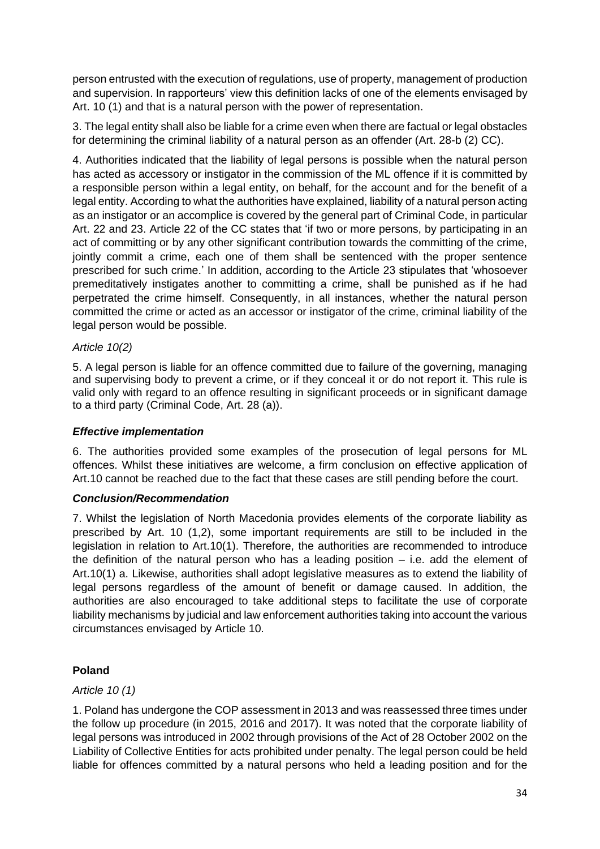person entrusted with the execution of regulations, use of property, management of production and supervision. In rapporteurs' view this definition lacks of one of the elements envisaged by Art. 10 (1) and that is a natural person with the power of representation.

3. The legal entity shall also be liable for a crime even when there are factual or legal obstacles for determining the criminal liability of a natural person as an offender (Art. 28-b (2) CC).

4. Authorities indicated that the liability of legal persons is possible when the natural person has acted as accessory or instigator in the commission of the ML offence if it is committed by a responsible person within a legal entity, on behalf, for the account and for the benefit of a legal entity. According to what the authorities have explained, liability of a natural person acting as an instigator or an accomplice is covered by the general part of Criminal Code, in particular Art. 22 and 23. Article 22 of the CC states that 'if two or more persons, by participating in an act of committing or by any other significant contribution towards the committing of the crime, jointly commit a crime, each one of them shall be sentenced with the proper sentence prescribed for such crime.' In addition, according to the Article 23 stipulates that 'whosoever premeditatively instigates another to committing a crime, shall be punished as if he had perpetrated the crime himself. Consequently, in all instances, whether the natural person committed the crime or acted as an accessor or instigator of the crime, criminal liability of the legal person would be possible.

### *Article 10(2)*

5. A legal person is liable for an offence committed due to failure of the governing, managing and supervising body to prevent a crime, or if they conceal it or do not report it. This rule is valid only with regard to an offence resulting in significant proceeds or in significant damage to a third party (Criminal Code, Art. 28 (a)).

### *Effective implementation*

6. The authorities provided some examples of the prosecution of legal persons for ML offences. Whilst these initiatives are welcome, a firm conclusion on effective application of Art.10 cannot be reached due to the fact that these cases are still pending before the court.

### *Conclusion/Recommendation*

7. Whilst the legislation of North Macedonia provides elements of the corporate liability as prescribed by Art. 10 (1,2), some important requirements are still to be included in the legislation in relation to Art.10(1). Therefore, the authorities are recommended to introduce the definition of the natural person who has a leading position  $-$  i.e. add the element of Art.10(1) a. Likewise, authorities shall adopt legislative measures as to extend the liability of legal persons regardless of the amount of benefit or damage caused. In addition, the authorities are also encouraged to take additional steps to facilitate the use of corporate liability mechanisms by judicial and law enforcement authorities taking into account the various circumstances envisaged by Article 10.

# **Poland**

### *Article 10 (1)*

1. Poland has undergone the COP assessment in 2013 and was reassessed three times under the follow up procedure (in 2015, 2016 and 2017). It was noted that the corporate liability of legal persons was introduced in 2002 through provisions of the Act of 28 October 2002 on the Liability of Collective Entities for acts prohibited under penalty. The legal person could be held liable for offences committed by a natural persons who held a leading position and for the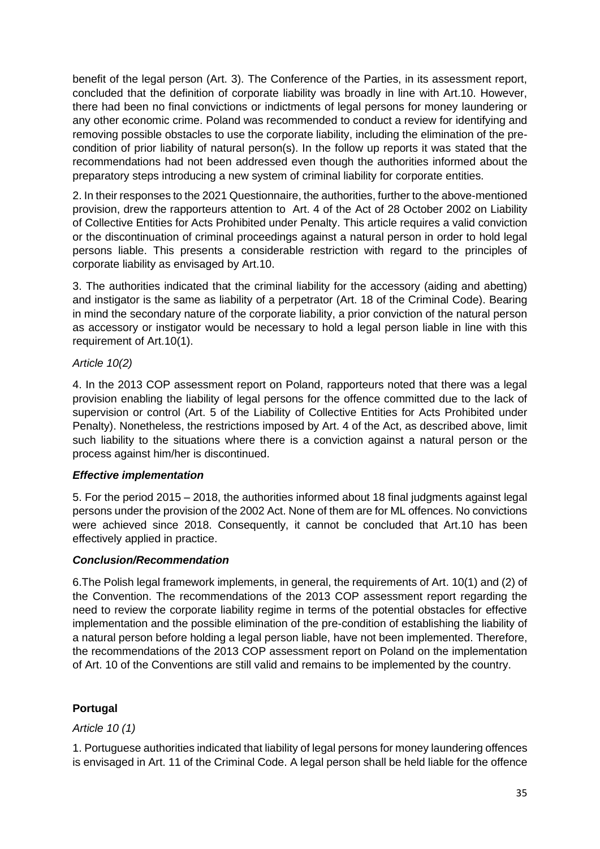benefit of the legal person (Art. 3). The Conference of the Parties, in its assessment report, concluded that the definition of corporate liability was broadly in line with Art.10. However, there had been no final convictions or indictments of legal persons for money laundering or any other economic crime. Poland was recommended to conduct a review for identifying and removing possible obstacles to use the corporate liability, including the elimination of the precondition of prior liability of natural person(s). In the follow up reports it was stated that the recommendations had not been addressed even though the authorities informed about the preparatory steps introducing a new system of criminal liability for corporate entities.

2. In their responses to the 2021 Questionnaire, the authorities, further to the above-mentioned provision, drew the rapporteurs attention to Art. 4 of the Act of 28 October 2002 on Liability of Collective Entities for Acts Prohibited under Penalty. This article requires a valid conviction or the discontinuation of criminal proceedings against a natural person in order to hold legal persons liable. This presents a considerable restriction with regard to the principles of corporate liability as envisaged by Art.10.

3. The authorities indicated that the criminal liability for the accessory (aiding and abetting) and instigator is the same as liability of a perpetrator (Art. 18 of the Criminal Code). Bearing in mind the secondary nature of the corporate liability, a prior conviction of the natural person as accessory or instigator would be necessary to hold a legal person liable in line with this requirement of Art.10(1).

# *Article 10(2)*

4. In the 2013 COP assessment report on Poland, rapporteurs noted that there was a legal provision enabling the liability of legal persons for the offence committed due to the lack of supervision or control (Art. 5 of the Liability of Collective Entities for Acts Prohibited under Penalty). Nonetheless, the restrictions imposed by Art. 4 of the Act, as described above, limit such liability to the situations where there is a conviction against a natural person or the process against him/her is discontinued.

# *Effective implementation*

5. For the period 2015 – 2018, the authorities informed about 18 final judgments against legal persons under the provision of the 2002 Act. None of them are for ML offences. No convictions were achieved since 2018. Consequently, it cannot be concluded that Art.10 has been effectively applied in practice.

### *Conclusion/Recommendation*

6.The Polish legal framework implements, in general, the requirements of Art. 10(1) and (2) of the Convention. The recommendations of the 2013 COP assessment report regarding the need to review the corporate liability regime in terms of the potential obstacles for effective implementation and the possible elimination of the pre-condition of establishing the liability of a natural person before holding a legal person liable, have not been implemented. Therefore, the recommendations of the 2013 COP assessment report on Poland on the implementation of Art. 10 of the Conventions are still valid and remains to be implemented by the country.

# **Portugal**

# *Article 10 (1)*

1. Portuguese authorities indicated that liability of legal persons for money laundering offences is envisaged in Art. 11 of the Criminal Code. A legal person shall be held liable for the offence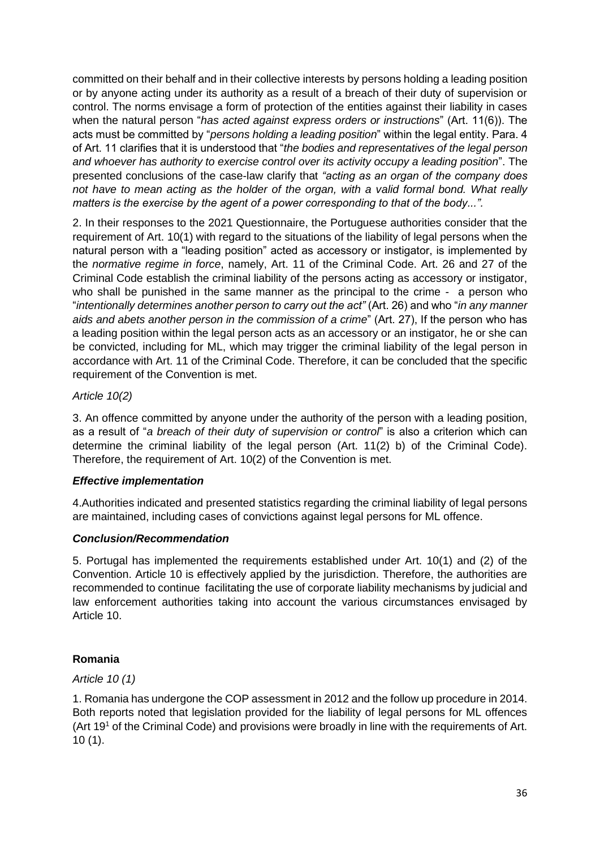committed on their behalf and in their collective interests by persons holding a leading position or by anyone acting under its authority as a result of a breach of their duty of supervision or control. The norms envisage a form of protection of the entities against their liability in cases when the natural person "*has acted against express orders or instructions*" (Art. 11(6)). The acts must be committed by "*persons holding a leading position*" within the legal entity. Para. 4 of Art. 11 clarifies that it is understood that "*the bodies and representatives of the legal person and whoever has authority to exercise control over its activity occupy a leading position*". The presented conclusions of the case-law clarify that *"acting as an organ of the company does not have to mean acting as the holder of the organ, with a valid formal bond. What really matters is the exercise by the agent of a power corresponding to that of the body...".*

2. In their responses to the 2021 Questionnaire, the Portuguese authorities consider that the requirement of Art. 10(1) with regard to the situations of the liability of legal persons when the natural person with a "leading position" acted as accessory or instigator, is implemented by the *normative regime in force*, namely, Art. 11 of the Criminal Code. Art. 26 and 27 of the Criminal Code establish the criminal liability of the persons acting as accessory or instigator, who shall be punished in the same manner as the principal to the crime - a person who "*intentionally determines another person to carry out the act"* (Art. 26) and who "*in any manner aids and abets another person in the commission of a crime*" (Art. 27), If the person who has a leading position within the legal person acts as an accessory or an instigator, he or she can be convicted, including for ML, which may trigger the criminal liability of the legal person in accordance with Art. 11 of the Criminal Code. Therefore, it can be concluded that the specific requirement of the Convention is met.

# *Article 10(2)*

3. An offence committed by anyone under the authority of the person with a leading position, as a result of "*a breach of their duty of supervision or control*" is also a criterion which can determine the criminal liability of the legal person (Art. 11(2) b) of the Criminal Code). Therefore, the requirement of Art. 10(2) of the Convention is met.

### *Effective implementation*

4.Authorities indicated and presented statistics regarding the criminal liability of legal persons are maintained, including cases of convictions against legal persons for ML offence.

### *Conclusion/Recommendation*

5. Portugal has implemented the requirements established under Art. 10(1) and (2) of the Convention. Article 10 is effectively applied by the jurisdiction. Therefore, the authorities are recommended to continue facilitating the use of corporate liability mechanisms by judicial and law enforcement authorities taking into account the various circumstances envisaged by Article 10.

# **Romania**

### *Article 10 (1)*

1. Romania has undergone the COP assessment in 2012 and the follow up procedure in 2014. Both reports noted that legislation provided for the liability of legal persons for ML offences (Art 19<sup>1</sup> of the Criminal Code) and provisions were broadly in line with the requirements of Art. 10 (1).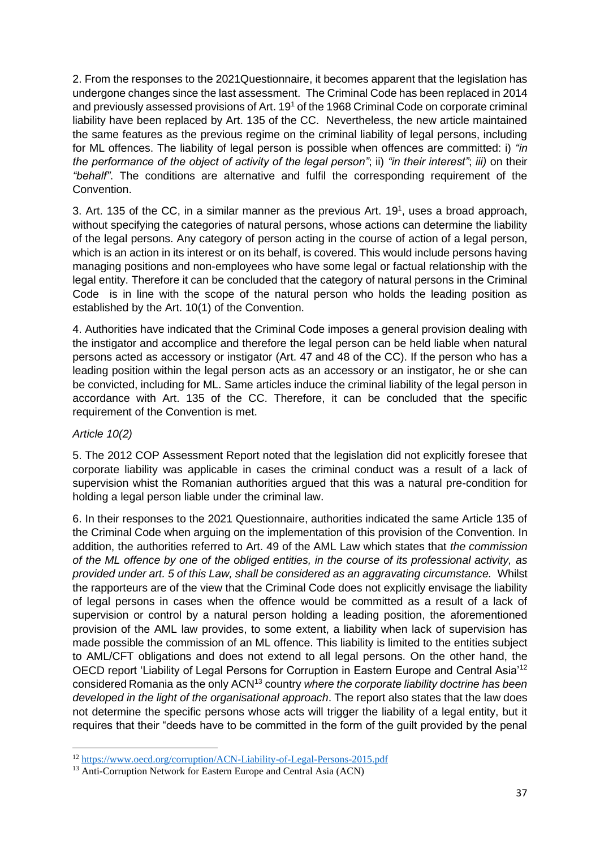2. From the responses to the 2021Questionnaire, it becomes apparent that the legislation has undergone changes since the last assessment. The Criminal Code has been replaced in 2014 and previously assessed provisions of Art. 19<sup>1</sup> of the 1968 Criminal Code on corporate criminal liability have been replaced by Art. 135 of the CC. Nevertheless, the new article maintained the same features as the previous regime on the criminal liability of legal persons, including for ML offences. The liability of legal person is possible when offences are committed: i) *"in the performance of the object of activity of the legal person"*; ii) *"in their interest"*; *iii)* on their *"behalf"*. The conditions are alternative and fulfil the corresponding requirement of the Convention.

3. Art. 135 of the CC, in a similar manner as the previous Art.  $19<sup>1</sup>$ , uses a broad approach, without specifying the categories of natural persons, whose actions can determine the liability of the legal persons. Any category of person acting in the course of action of a legal person, which is an action in its interest or on its behalf, is covered. This would include persons having managing positions and non-employees who have some legal or factual relationship with the legal entity. Therefore it can be concluded that the category of natural persons in the Criminal Code is in line with the scope of the natural person who holds the leading position as established by the Art. 10(1) of the Convention.

4. Authorities have indicated that the Criminal Code imposes a general provision dealing with the instigator and accomplice and therefore the legal person can be held liable when natural persons acted as accessory or instigator (Art. 47 and 48 of the CC). If the person who has a leading position within the legal person acts as an accessory or an instigator, he or she can be convicted, including for ML. Same articles induce the criminal liability of the legal person in accordance with Art. 135 of the CC. Therefore, it can be concluded that the specific requirement of the Convention is met.

# *Article 10(2)*

5. The 2012 COP Assessment Report noted that the legislation did not explicitly foresee that corporate liability was applicable in cases the criminal conduct was a result of a lack of supervision whist the Romanian authorities argued that this was a natural pre-condition for holding a legal person liable under the criminal law.

6. In their responses to the 2021 Questionnaire, authorities indicated the same Article 135 of the Criminal Code when arguing on the implementation of this provision of the Convention. In addition, the authorities referred to Art. 49 of the AML Law which states that *the commission of the ML offence by one of the obliged entities, in the course of its professional activity, as provided under art. 5 of this Law, shall be considered as an aggravating circumstance.* Whilst the rapporteurs are of the view that the Criminal Code does not explicitly envisage the liability of legal persons in cases when the offence would be committed as a result of a lack of supervision or control by a natural person holding a leading position, the aforementioned provision of the AML law provides, to some extent, a liability when lack of supervision has made possible the commission of an ML offence. This liability is limited to the entities subject to AML/CFT obligations and does not extend to all legal persons. On the other hand, the OECD report 'Liability of Legal Persons for Corruption in Eastern Europe and Central Asia'<sup>12</sup> considered Romania as the only ACN<sup>13</sup> country *where the corporate liability doctrine has been developed in the light of the organisational approach*. The report also states that the law does not determine the specific persons whose acts will trigger the liability of a legal entity, but it requires that their "deeds have to be committed in the form of the guilt provided by the penal

<sup>12</sup> <https://www.oecd.org/corruption/ACN-Liability-of-Legal-Persons-2015.pdf>

<sup>&</sup>lt;sup>13</sup> Anti-Corruption Network for Eastern Europe and Central Asia (ACN)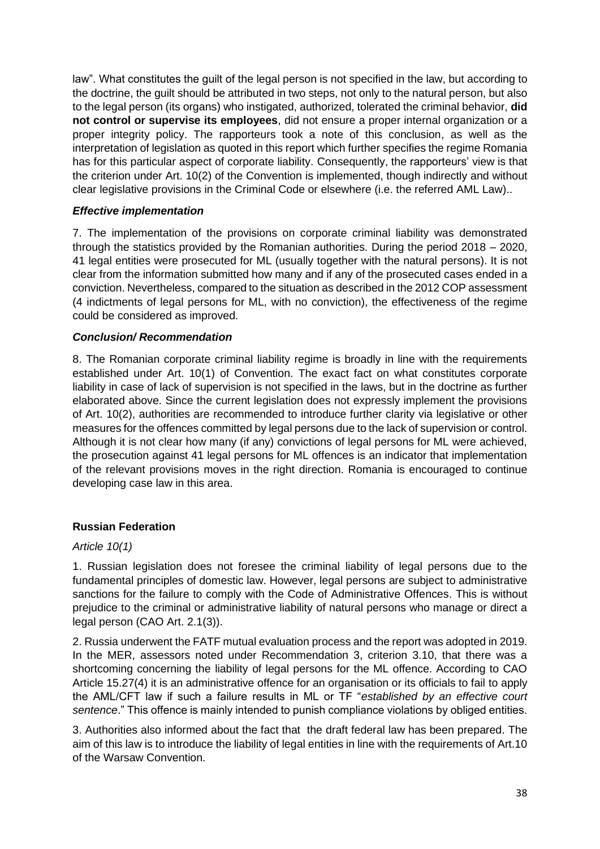law". What constitutes the guilt of the legal person is not specified in the law, but according to the doctrine, the guilt should be attributed in two steps, not only to the natural person, but also to the legal person (its organs) who instigated, authorized, tolerated the criminal behavior, **did not control or supervise its employees**, did not ensure a proper internal organization or a proper integrity policy. The rapporteurs took a note of this conclusion, as well as the interpretation of legislation as quoted in this report which further specifies the regime Romania has for this particular aspect of corporate liability. Consequently, the rapporteurs' view is that the criterion under Art. 10(2) of the Convention is implemented, though indirectly and without clear legislative provisions in the Criminal Code or elsewhere (i.e. the referred AML Law)..

### *Effective implementation*

7. The implementation of the provisions on corporate criminal liability was demonstrated through the statistics provided by the Romanian authorities. During the period 2018 – 2020, 41 legal entities were prosecuted for ML (usually together with the natural persons). It is not clear from the information submitted how many and if any of the prosecuted cases ended in a conviction. Nevertheless, compared to the situation as described in the 2012 COP assessment (4 indictments of legal persons for ML, with no conviction), the effectiveness of the regime could be considered as improved.

### *Conclusion/ Recommendation*

8. The Romanian corporate criminal liability regime is broadly in line with the requirements established under Art. 10(1) of Convention. The exact fact on what constitutes corporate liability in case of lack of supervision is not specified in the laws, but in the doctrine as further elaborated above. Since the current legislation does not expressly implement the provisions of Art. 10(2), authorities are recommended to introduce further clarity via legislative or other measures for the offences committed by legal persons due to the lack of supervision or control. Although it is not clear how many (if any) convictions of legal persons for ML were achieved, the prosecution against 41 legal persons for ML offences is an indicator that implementation of the relevant provisions moves in the right direction. Romania is encouraged to continue developing case law in this area.

### **Russian Federation**

### *Article 10(1)*

1. Russian legislation does not foresee the criminal liability of legal persons due to the fundamental principles of domestic law. However, legal persons are subject to administrative sanctions for the failure to comply with the Code of Administrative Offences. This is without prejudice to the criminal or administrative liability of natural persons who manage or direct a legal person (CAO Art. 2.1(3)).

2. Russia underwent the FATF mutual evaluation process and the report was adopted in 2019. In the MER, assessors noted under Recommendation 3, criterion 3.10, that there was a shortcoming concerning the liability of legal persons for the ML offence. According to CAO Article 15.27(4) it is an administrative offence for an organisation or its officials to fail to apply the AML/CFT law if such a failure results in ML or TF "*established by an effective court sentence*." This offence is mainly intended to punish compliance violations by obliged entities.

3. Authorities also informed about the fact that the draft federal law has been prepared. The aim of this law is to introduce the liability of legal entities in line with the requirements of Art.10 of the Warsaw Convention.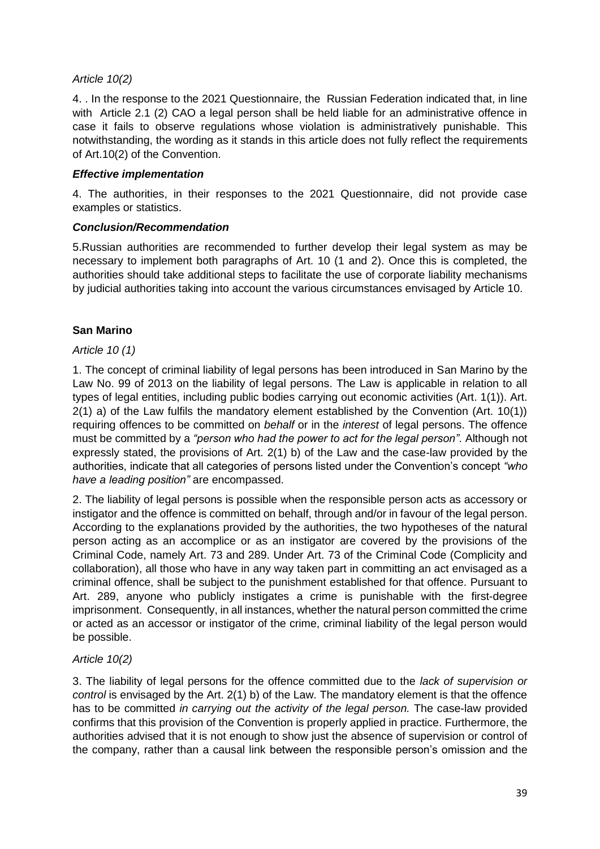### *Article 10(2)*

4. . In the response to the 2021 Questionnaire, the Russian Federation indicated that, in line with Article 2.1 (2) CAO a legal person shall be held liable for an administrative offence in case it fails to observe regulations whose violation is administratively punishable. This notwithstanding, the wording as it stands in this article does not fully reflect the requirements of Art.10(2) of the Convention.

### *Effective implementation*

4. The authorities, in their responses to the 2021 Questionnaire, did not provide case examples or statistics.

### *Conclusion/Recommendation*

5.Russian authorities are recommended to further develop their legal system as may be necessary to implement both paragraphs of Art. 10 (1 and 2). Once this is completed, the authorities should take additional steps to facilitate the use of corporate liability mechanisms by judicial authorities taking into account the various circumstances envisaged by Article 10.

### **San Marino**

### *Article 10 (1)*

1. The concept of criminal liability of legal persons has been introduced in San Marino by the Law No. 99 of 2013 on the liability of legal persons. The Law is applicable in relation to all types of legal entities, including public bodies carrying out economic activities (Art. 1(1)). Art. 2(1) a) of the Law fulfils the mandatory element established by the Convention (Art. 10(1)) requiring offences to be committed on *behalf* or in the *interest* of legal persons. The offence must be committed by a *"person who had the power to act for the legal person"*. Although not expressly stated, the provisions of Art. 2(1) b) of the Law and the case-law provided by the authorities, indicate that all categories of persons listed under the Convention's concept *"who have a leading position"* are encompassed.

2. The liability of legal persons is possible when the responsible person acts as accessory or instigator and the offence is committed on behalf, through and/or in favour of the legal person. According to the explanations provided by the authorities, the two hypotheses of the natural person acting as an accomplice or as an instigator are covered by the provisions of the Criminal Code, namely Art. 73 and 289. Under Art. 73 of the Criminal Code (Complicity and collaboration), all those who have in any way taken part in committing an act envisaged as a criminal offence, shall be subject to the punishment established for that offence. Pursuant to Art. 289, anyone who publicly instigates a crime is punishable with the first-degree imprisonment. Consequently, in all instances, whether the natural person committed the crime or acted as an accessor or instigator of the crime, criminal liability of the legal person would be possible.

# *Article 10(2)*

3. The liability of legal persons for the offence committed due to the *lack of supervision or control* is envisaged by the Art. 2(1) b) of the Law. The mandatory element is that the offence has to be committed *in carrying out the activity of the legal person.* The case-law provided confirms that this provision of the Convention is properly applied in practice. Furthermore, the authorities advised that it is not enough to show just the absence of supervision or control of the company, rather than a causal link between the responsible person's omission and the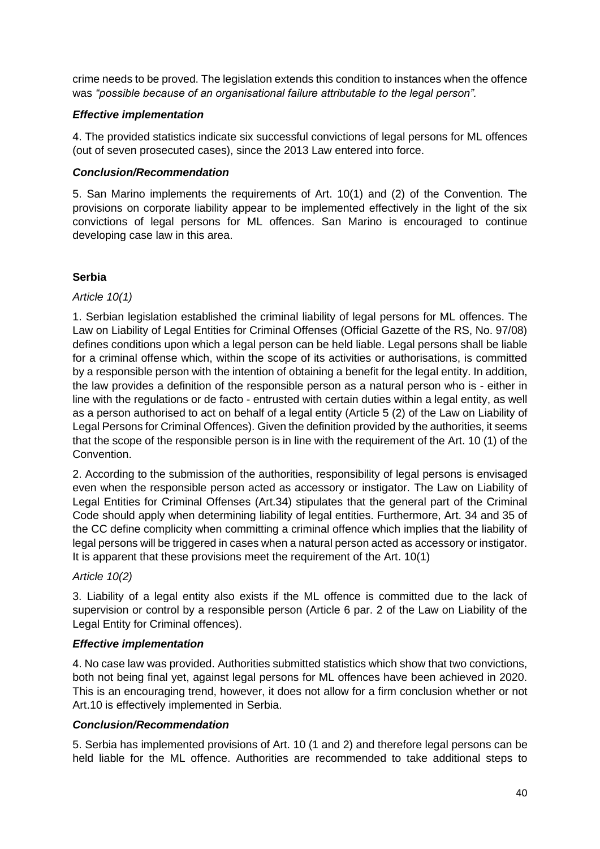crime needs to be proved. The legislation extends this condition to instances when the offence was *"possible because of an organisational failure attributable to the legal person".*

### *Effective implementation*

4. The provided statistics indicate six successful convictions of legal persons for ML offences (out of seven prosecuted cases), since the 2013 Law entered into force.

### *Conclusion/Recommendation*

5. San Marino implements the requirements of Art. 10(1) and (2) of the Convention. The provisions on corporate liability appear to be implemented effectively in the light of the six convictions of legal persons for ML offences. San Marino is encouraged to continue developing case law in this area.

### **Serbia**

### *Article 10(1)*

1. Serbian legislation established the criminal liability of legal persons for ML offences. The Law on Liability of Legal Entities for Criminal Offenses (Official Gazette of the RS, No. 97/08) defines conditions upon which a legal person can be held liable. Legal persons shall be liable for a criminal offense which, within the scope of its activities or authorisations, is committed by a responsible person with the intention of obtaining a benefit for the legal entity. In addition, the law provides a definition of the responsible person as a natural person who is - either in line with the regulations or de facto - entrusted with certain duties within a legal entity, as well as a person authorised to act on behalf of a legal entity (Article 5 (2) of the Law on Liability of Legal Persons for Criminal Offences). Given the definition provided by the authorities, it seems that the scope of the responsible person is in line with the requirement of the Art. 10 (1) of the Convention.

2. According to the submission of the authorities, responsibility of legal persons is envisaged even when the responsible person acted as accessory or instigator. The Law on Liability of Legal Entities for Criminal Offenses (Art.34) stipulates that the general part of the Criminal Code should apply when determining liability of legal entities. Furthermore, Art. 34 and 35 of the CC define complicity when committing a criminal offence which implies that the liability of legal persons will be triggered in cases when a natural person acted as accessory or instigator. It is apparent that these provisions meet the requirement of the Art. 10(1)

### *Article 10(2)*

3. Liability of a legal entity also exists if the ML offence is committed due to the lack of supervision or control by a responsible person (Article 6 par. 2 of the Law on Liability of the Legal Entity for Criminal offences).

### *Effective implementation*

4. No case law was provided. Authorities submitted statistics which show that two convictions, both not being final yet, against legal persons for ML offences have been achieved in 2020. This is an encouraging trend, however, it does not allow for a firm conclusion whether or not Art.10 is effectively implemented in Serbia.

### *Conclusion/Recommendation*

5. Serbia has implemented provisions of Art. 10 (1 and 2) and therefore legal persons can be held liable for the ML offence. Authorities are recommended to take additional steps to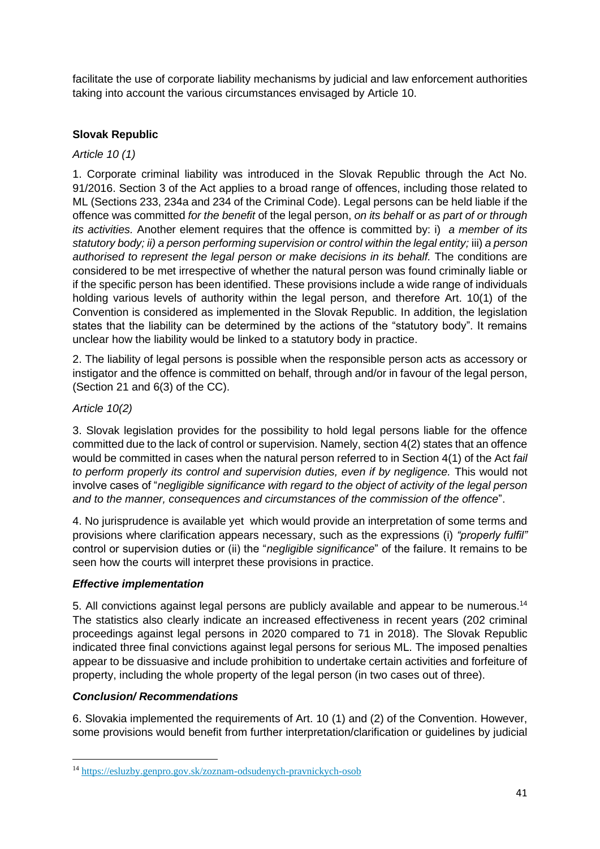facilitate the use of corporate liability mechanisms by judicial and law enforcement authorities taking into account the various circumstances envisaged by Article 10.

### **Slovak Republic**

### *Article 10 (1)*

1. Corporate criminal liability was introduced in the Slovak Republic through the Act No. 91/2016. Section 3 of the Act applies to a broad range of offences, including those related to ML (Sections 233, 234a and 234 of the Criminal Code). Legal persons can be held liable if the offence was committed *for the benefit* of the legal person, *on its behalf* or *as part of or through its activities.* Another element requires that the offence is committed by: i) *a member of its statutory body; ii) a person performing supervision or control within the legal entity;* iii) *a person*  authorised to represent the legal person or make decisions in its behalf. The conditions are considered to be met irrespective of whether the natural person was found criminally liable or if the specific person has been identified. These provisions include a wide range of individuals holding various levels of authority within the legal person, and therefore Art. 10(1) of the Convention is considered as implemented in the Slovak Republic. In addition, the legislation states that the liability can be determined by the actions of the "statutory body". It remains unclear how the liability would be linked to a statutory body in practice.

2. The liability of legal persons is possible when the responsible person acts as accessory or instigator and the offence is committed on behalf, through and/or in favour of the legal person, (Section 21 and 6(3) of the CC).

### *Article 10(2)*

3. Slovak legislation provides for the possibility to hold legal persons liable for the offence committed due to the lack of control or supervision. Namely, section 4(2) states that an offence would be committed in cases when the natural person referred to in Section 4(1) of the Act *fail to perform properly its control and supervision duties, even if by negligence.* This would not involve cases of "*negligible significance with regard to the object of activity of the legal person and to the manner, consequences and circumstances of the commission of the offence*".

4. No jurisprudence is available yet which would provide an interpretation of some terms and provisions where clarification appears necessary, such as the expressions (i) *"properly fulfil"* control or supervision duties or (ii) the "*negligible significance*" of the failure. It remains to be seen how the courts will interpret these provisions in practice.

### *Effective implementation*

5. All convictions against legal persons are publicly available and appear to be numerous.<sup>14</sup> The statistics also clearly indicate an increased effectiveness in recent years (202 criminal proceedings against legal persons in 2020 compared to 71 in 2018). The Slovak Republic indicated three final convictions against legal persons for serious ML. The imposed penalties appear to be dissuasive and include prohibition to undertake certain activities and forfeiture of property, including the whole property of the legal person (in two cases out of three).

# *Conclusion/ Recommendations*

6. Slovakia implemented the requirements of Art. 10 (1) and (2) of the Convention. However, some provisions would benefit from further interpretation/clarification or guidelines by judicial

<sup>14</sup> <https://esluzby.genpro.gov.sk/zoznam-odsudenych-pravnickych-osob>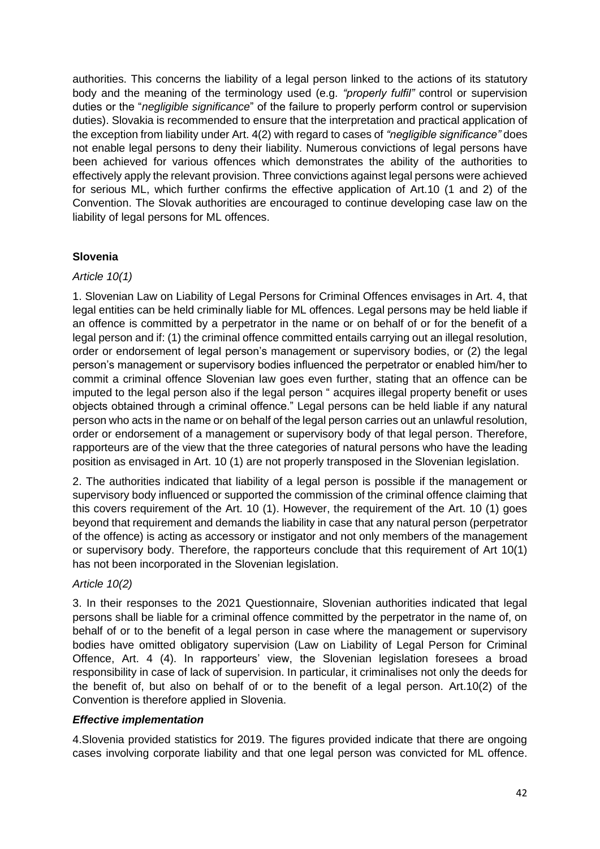authorities. This concerns the liability of a legal person linked to the actions of its statutory body and the meaning of the terminology used (e.g. *"properly fulfil"* control or supervision duties or the "*negligible significance*" of the failure to properly perform control or supervision duties). Slovakia is recommended to ensure that the interpretation and practical application of the exception from liability under Art. 4(2) with regard to cases of *"negligible significance"* does not enable legal persons to deny their liability. Numerous convictions of legal persons have been achieved for various offences which demonstrates the ability of the authorities to effectively apply the relevant provision. Three convictions against legal persons were achieved for serious ML, which further confirms the effective application of Art.10 (1 and 2) of the Convention. The Slovak authorities are encouraged to continue developing case law on the liability of legal persons for ML offences.

### **Slovenia**

### *Article 10(1)*

1. Slovenian Law on Liability of Legal Persons for Criminal Offences envisages in Art. 4, that legal entities can be held criminally liable for ML offences. Legal persons may be held liable if an offence is committed by a perpetrator in the name or on behalf of or for the benefit of a legal person and if: (1) the criminal offence committed entails carrying out an illegal resolution, order or endorsement of legal person's management or supervisory bodies, or (2) the legal person's management or supervisory bodies influenced the perpetrator or enabled him/her to commit a criminal offence Slovenian law goes even further, stating that an offence can be imputed to the legal person also if the legal person " acquires illegal property benefit or uses objects obtained through a criminal offence." Legal persons can be held liable if any natural person who acts in the name or on behalf of the legal person carries out an unlawful resolution, order or endorsement of a management or supervisory body of that legal person. Therefore, rapporteurs are of the view that the three categories of natural persons who have the leading position as envisaged in Art. 10 (1) are not properly transposed in the Slovenian legislation.

2. The authorities indicated that liability of a legal person is possible if the management or supervisory body influenced or supported the commission of the criminal offence claiming that this covers requirement of the Art. 10 (1). However, the requirement of the Art. 10 (1) goes beyond that requirement and demands the liability in case that any natural person (perpetrator of the offence) is acting as accessory or instigator and not only members of the management or supervisory body. Therefore, the rapporteurs conclude that this requirement of Art 10(1) has not been incorporated in the Slovenian legislation.

# *Article 10(2)*

3. In their responses to the 2021 Questionnaire, Slovenian authorities indicated that legal persons shall be liable for a criminal offence committed by the perpetrator in the name of, on behalf of or to the benefit of a legal person in case where the management or supervisory bodies have omitted obligatory supervision (Law on Liability of Legal Person for Criminal Offence, Art. 4 (4). In rapporteurs' view, the Slovenian legislation foresees a broad responsibility in case of lack of supervision. In particular, it criminalises not only the deeds for the benefit of, but also on behalf of or to the benefit of a legal person. Art.10(2) of the Convention is therefore applied in Slovenia.

### *Effective implementation*

4.Slovenia provided statistics for 2019. The figures provided indicate that there are ongoing cases involving corporate liability and that one legal person was convicted for ML offence.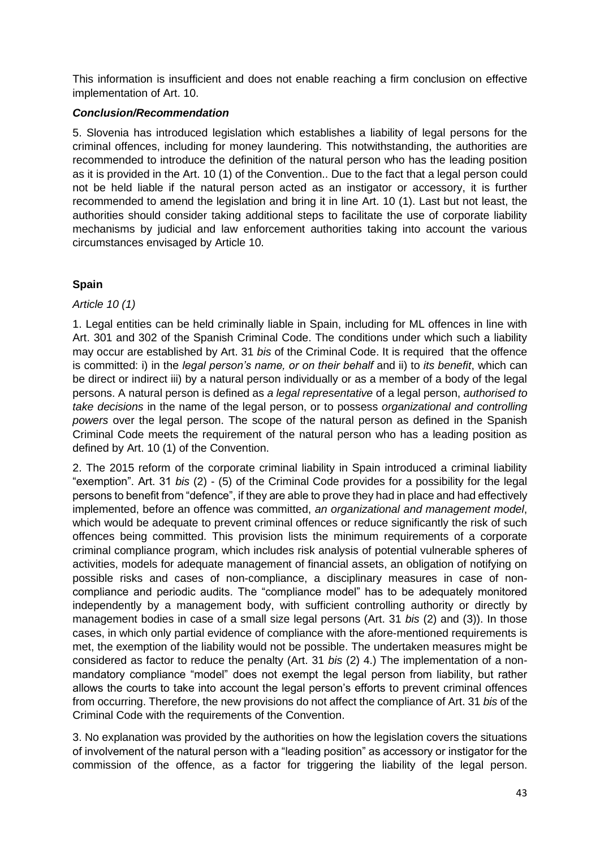This information is insufficient and does not enable reaching a firm conclusion on effective implementation of Art. 10.

### *Conclusion/Recommendation*

5. Slovenia has introduced legislation which establishes a liability of legal persons for the criminal offences, including for money laundering. This notwithstanding, the authorities are recommended to introduce the definition of the natural person who has the leading position as it is provided in the Art. 10 (1) of the Convention.. Due to the fact that a legal person could not be held liable if the natural person acted as an instigator or accessory, it is further recommended to amend the legislation and bring it in line Art. 10 (1). Last but not least, the authorities should consider taking additional steps to facilitate the use of corporate liability mechanisms by judicial and law enforcement authorities taking into account the various circumstances envisaged by Article 10.

# **Spain**

### *Article 10 (1)*

1. Legal entities can be held criminally liable in Spain, including for ML offences in line with Art. 301 and 302 of the Spanish Criminal Code. The conditions under which such a liability may occur are established by Art. 31 *bis* of the Criminal Code. It is required that the offence is committed: i) in the *legal person's name, or on their behalf* and ii) to *its benefit*, which can be direct or indirect iii) by a natural person individually or as a member of a body of the legal persons. A natural person is defined as *a legal representative* of a legal person, *authorised to take decisions* in the name of the legal person, or to possess *organizational and controlling powers* over the legal person. The scope of the natural person as defined in the Spanish Criminal Code meets the requirement of the natural person who has a leading position as defined by Art. 10 (1) of the Convention.

2. The 2015 reform of the corporate criminal liability in Spain introduced a criminal liability "exemption". Art. 31 *bis* (2) - (5) of the Criminal Code provides for a possibility for the legal persons to benefit from "defence", if they are able to prove they had in place and had effectively implemented, before an offence was committed, *an organizational and management model*, which would be adequate to prevent criminal offences or reduce significantly the risk of such offences being committed. This provision lists the minimum requirements of a corporate criminal compliance program, which includes risk analysis of potential vulnerable spheres of activities, models for adequate management of financial assets, an obligation of notifying on possible risks and cases of non-compliance, a disciplinary measures in case of noncompliance and periodic audits. The "compliance model" has to be adequately monitored independently by a management body, with sufficient controlling authority or directly by management bodies in case of a small size legal persons (Art. 31 *bis* (2) and (3)). In those cases, in which only partial evidence of compliance with the afore-mentioned requirements is met, the exemption of the liability would not be possible. The undertaken measures might be considered as factor to reduce the penalty (Art. 31 *bis* (2) 4.) The implementation of a nonmandatory compliance "model" does not exempt the legal person from liability, but rather allows the courts to take into account the legal person's efforts to prevent criminal offences from occurring. Therefore, the new provisions do not affect the compliance of Art. 31 *bis* of the Criminal Code with the requirements of the Convention.

3. No explanation was provided by the authorities on how the legislation covers the situations of involvement of the natural person with a "leading position" as accessory or instigator for the commission of the offence, as a factor for triggering the liability of the legal person.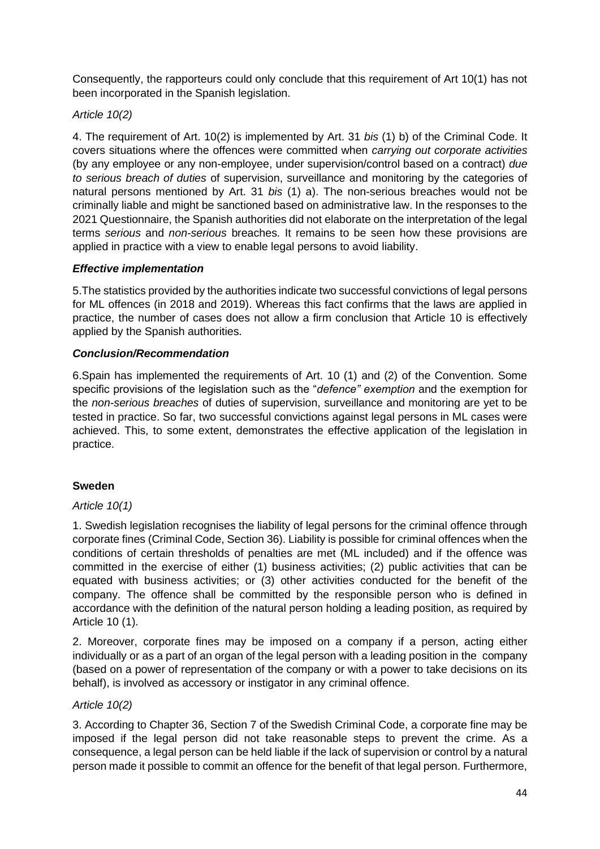Consequently, the rapporteurs could only conclude that this requirement of Art 10(1) has not been incorporated in the Spanish legislation.

### *Article 10(2)*

4. The requirement of Art. 10(2) is implemented by Art. 31 *bis* (1) b) of the Criminal Code. It covers situations where the offences were committed when *carrying out corporate activities*  (by any employee or any non-employee, under supervision/control based on a contract) *due to serious breach of duties* of supervision, surveillance and monitoring by the categories of natural persons mentioned by Art. 31 *bis* (1) a). The non-serious breaches would not be criminally liable and might be sanctioned based on administrative law. In the responses to the 2021 Questionnaire, the Spanish authorities did not elaborate on the interpretation of the legal terms *serious* and *non-serious* breaches. It remains to be seen how these provisions are applied in practice with a view to enable legal persons to avoid liability.

### *Effective implementation*

5.The statistics provided by the authorities indicate two successful convictions of legal persons for ML offences (in 2018 and 2019). Whereas this fact confirms that the laws are applied in practice, the number of cases does not allow a firm conclusion that Article 10 is effectively applied by the Spanish authorities.

### *Conclusion/Recommendation*

6.Spain has implemented the requirements of Art. 10 (1) and (2) of the Convention. Some specific provisions of the legislation such as the "*defence" exemption* and the exemption for the *non-serious breaches* of duties of supervision, surveillance and monitoring are yet to be tested in practice. So far, two successful convictions against legal persons in ML cases were achieved. This, to some extent, demonstrates the effective application of the legislation in practice.

### **Sweden**

### *Article 10(1)*

1. Swedish legislation recognises the liability of legal persons for the criminal offence through corporate fines (Criminal Code, Section 36). Liability is possible for criminal offences when the conditions of certain thresholds of penalties are met (ML included) and if the offence was committed in the exercise of either (1) business activities; (2) public activities that can be equated with business activities; or (3) other activities conducted for the benefit of the company. The offence shall be committed by the responsible person who is defined in accordance with the definition of the natural person holding a leading position, as required by Article 10 (1).

2. Moreover, corporate fines may be imposed on a company if a person, acting either individually or as a part of an organ of the legal person with a leading position in the company (based on a power of representation of the company or with a power to take decisions on its behalf), is involved as accessory or instigator in any criminal offence.

### *Article 10(2)*

3. According to Chapter 36, Section 7 of the Swedish Criminal Code, a corporate fine may be imposed if the legal person did not take reasonable steps to prevent the crime. As a consequence, a legal person can be held liable if the lack of supervision or control by a natural person made it possible to commit an offence for the benefit of that legal person. Furthermore,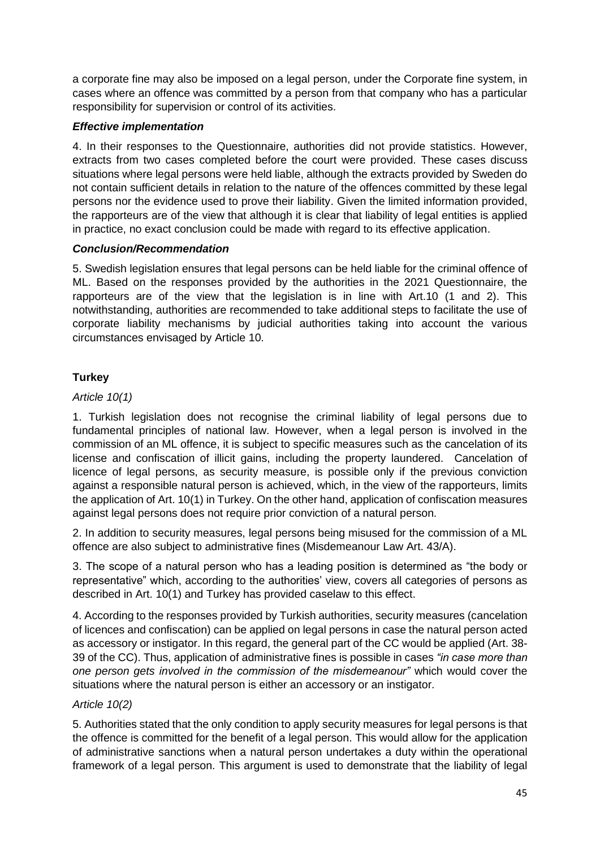a corporate fine may also be imposed on a legal person, under the Corporate fine system, in cases where an offence was committed by a person from that company who has a particular responsibility for supervision or control of its activities.

# *Effective implementation*

4. In their responses to the Questionnaire, authorities did not provide statistics. However, extracts from two cases completed before the court were provided. These cases discuss situations where legal persons were held liable, although the extracts provided by Sweden do not contain sufficient details in relation to the nature of the offences committed by these legal persons nor the evidence used to prove their liability. Given the limited information provided, the rapporteurs are of the view that although it is clear that liability of legal entities is applied in practice, no exact conclusion could be made with regard to its effective application.

### *Conclusion/Recommendation*

5. Swedish legislation ensures that legal persons can be held liable for the criminal offence of ML. Based on the responses provided by the authorities in the 2021 Questionnaire, the rapporteurs are of the view that the legislation is in line with Art.10 (1 and 2). This notwithstanding, authorities are recommended to take additional steps to facilitate the use of corporate liability mechanisms by judicial authorities taking into account the various circumstances envisaged by Article 10.

# **Turkey**

### *Article 10(1)*

1. Turkish legislation does not recognise the criminal liability of legal persons due to fundamental principles of national law. However, when a legal person is involved in the commission of an ML offence, it is subject to specific measures such as the cancelation of its license and confiscation of illicit gains, including the property laundered. Cancelation of licence of legal persons, as security measure, is possible only if the previous conviction against a responsible natural person is achieved, which, in the view of the rapporteurs, limits the application of Art. 10(1) in Turkey. On the other hand, application of confiscation measures against legal persons does not require prior conviction of a natural person.

2. In addition to security measures, legal persons being misused for the commission of a ML offence are also subject to administrative fines (Misdemeanour Law Art. 43/A).

3. The scope of a natural person who has a leading position is determined as "the body or representative" which, according to the authorities' view, covers all categories of persons as described in Art. 10(1) and Turkey has provided caselaw to this effect.

4. According to the responses provided by Turkish authorities, security measures (cancelation of licences and confiscation) can be applied on legal persons in case the natural person acted as accessory or instigator. In this regard, the general part of the CC would be applied (Art. 38- 39 of the CC). Thus, application of administrative fines is possible in cases *"in case more than one person gets involved in the commission of the misdemeanour"* which would cover the situations where the natural person is either an accessory or an instigator.

# *Article 10(2)*

5. Authorities stated that the only condition to apply security measures for legal persons is that the offence is committed for the benefit of a legal person. This would allow for the application of administrative sanctions when a natural person undertakes a duty within the operational framework of a legal person. This argument is used to demonstrate that the liability of legal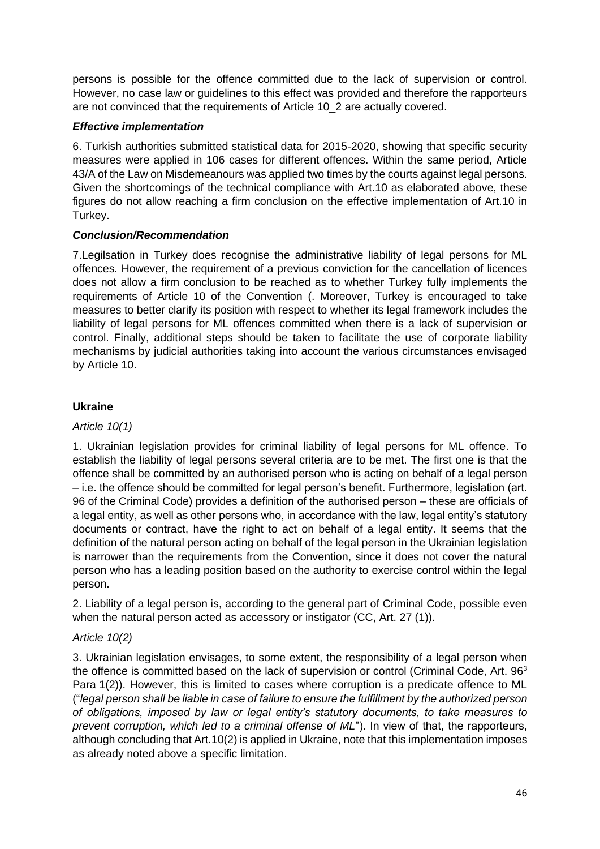persons is possible for the offence committed due to the lack of supervision or control. However, no case law or guidelines to this effect was provided and therefore the rapporteurs are not convinced that the requirements of Article 10\_2 are actually covered.

### *Effective implementation*

6. Turkish authorities submitted statistical data for 2015-2020, showing that specific security measures were applied in 106 cases for different offences. Within the same period, Article 43/A of the Law on Misdemeanours was applied two times by the courts against legal persons. Given the shortcomings of the technical compliance with Art.10 as elaborated above, these figures do not allow reaching a firm conclusion on the effective implementation of Art.10 in Turkey.

### *Conclusion/Recommendation*

7.Legilsation in Turkey does recognise the administrative liability of legal persons for ML offences. However, the requirement of a previous conviction for the cancellation of licences does not allow a firm conclusion to be reached as to whether Turkey fully implements the requirements of Article 10 of the Convention (. Moreover, Turkey is encouraged to take measures to better clarify its position with respect to whether its legal framework includes the liability of legal persons for ML offences committed when there is a lack of supervision or control. Finally, additional steps should be taken to facilitate the use of corporate liability mechanisms by judicial authorities taking into account the various circumstances envisaged by Article 10.

### **Ukraine**

### *Article 10(1)*

1. Ukrainian legislation provides for criminal liability of legal persons for ML offence. To establish the liability of legal persons several criteria are to be met. The first one is that the offence shall be committed by an authorised person who is acting on behalf of a legal person – i.e. the offence should be committed for legal person's benefit. Furthermore, legislation (art. 96 of the Criminal Code) provides a definition of the authorised person – these are officials of a legal entity, as well as other persons who, in accordance with the law, legal entity's statutory documents or contract, have the right to act on behalf of a legal entity. It seems that the definition of the natural person acting on behalf of the legal person in the Ukrainian legislation is narrower than the requirements from the Convention, since it does not cover the natural person who has a leading position based on the authority to exercise control within the legal person.

2. Liability of a legal person is, according to the general part of Criminal Code, possible even when the natural person acted as accessory or instigator (CC, Art. 27 (1)).

# *Article 10(2)*

3. Ukrainian legislation envisages, to some extent, the responsibility of a legal person when the offence is committed based on the lack of supervision or control (Criminal Code, Art. 96<sup>3</sup>) Para 1(2)). However, this is limited to cases where corruption is a predicate offence to ML ("*legal person shall be liable in case of failure to ensure the fulfillment by the authorized person of obligations, imposed by law or legal entity's statutory documents, to take measures to prevent corruption, which led to a criminal offense of ML*"). In view of that, the rapporteurs, although concluding that Art.10(2) is applied in Ukraine, note that this implementation imposes as already noted above a specific limitation.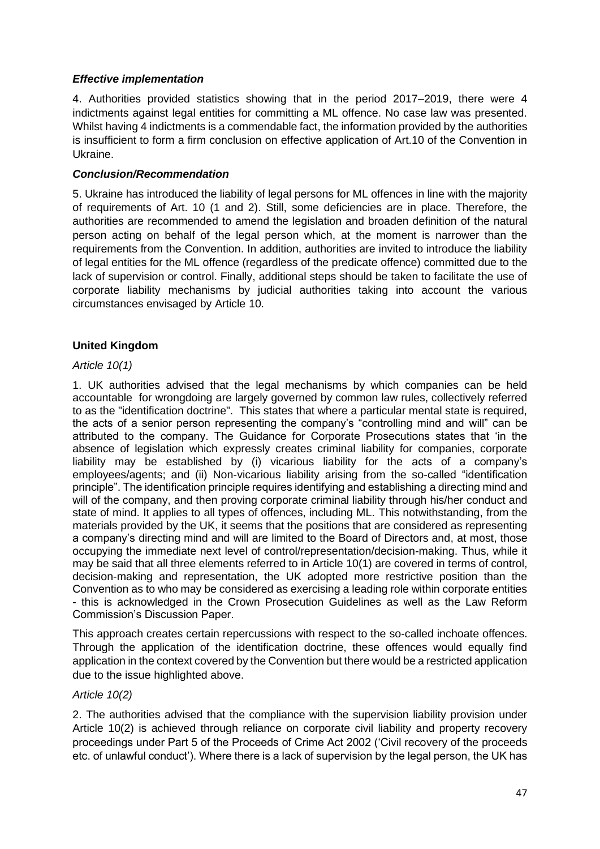### *Effective implementation*

4. Authorities provided statistics showing that in the period 2017–2019, there were 4 indictments against legal entities for committing a ML offence. No case law was presented. Whilst having 4 indictments is a commendable fact, the information provided by the authorities is insufficient to form a firm conclusion on effective application of Art.10 of the Convention in Ukraine.

### *Conclusion/Recommendation*

5. Ukraine has introduced the liability of legal persons for ML offences in line with the majority of requirements of Art. 10 (1 and 2). Still, some deficiencies are in place. Therefore, the authorities are recommended to amend the legislation and broaden definition of the natural person acting on behalf of the legal person which, at the moment is narrower than the requirements from the Convention. In addition, authorities are invited to introduce the liability of legal entities for the ML offence (regardless of the predicate offence) committed due to the lack of supervision or control. Finally, additional steps should be taken to facilitate the use of corporate liability mechanisms by judicial authorities taking into account the various circumstances envisaged by Article 10.

### **United Kingdom**

### *Article 10(1)*

1. UK authorities advised that the legal mechanisms by which companies can be held accountable for wrongdoing are largely governed by common law rules, collectively referred to as the "identification doctrine". This states that where a particular mental state is required, the acts of a senior person representing the company's "controlling mind and will" can be attributed to the company. The Guidance for Corporate Prosecutions states that 'in the absence of legislation which expressly creates criminal liability for companies, corporate liability may be established by (i) vicarious liability for the acts of a company's employees/agents; and (ii) Non-vicarious liability arising from the so-called "identification principle". The identification principle requires identifying and establishing a directing mind and will of the company, and then proving corporate criminal liability through his/her conduct and state of mind. It applies to all types of offences, including ML. This notwithstanding, from the materials provided by the UK, it seems that the positions that are considered as representing a company's directing mind and will are limited to the Board of Directors and, at most, those occupying the immediate next level of control/representation/decision-making. Thus, while it may be said that all three elements referred to in Article 10(1) are covered in terms of control, decision-making and representation, the UK adopted more restrictive position than the Convention as to who may be considered as exercising a leading role within corporate entities - this is acknowledged in the Crown Prosecution Guidelines as well as the Law Reform Commission's Discussion Paper.

This approach creates certain repercussions with respect to the so-called inchoate offences. Through the application of the identification doctrine, these offences would equally find application in the context covered by the Convention but there would be a restricted application due to the issue highlighted above.

### *Article 10(2)*

2. The authorities advised that the compliance with the supervision liability provision under Article 10(2) is achieved through reliance on corporate civil liability and property recovery proceedings under Part 5 of the Proceeds of Crime Act 2002 ('Civil recovery of the proceeds etc. of unlawful conduct'). Where there is a lack of supervision by the legal person, the UK has